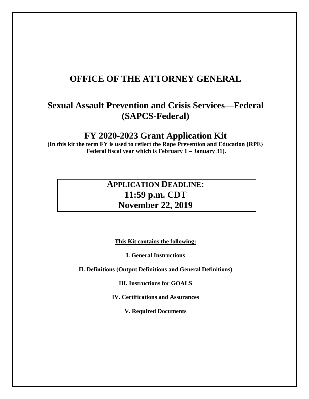# **OFFICE OF THE ATTORNEY GENERAL**

# **Sexual Assault Prevention and Crisis Services—Federal (SAPCS-Federal)**

## **FY 2020-2023 Grant Application Kit**

**(In this kit the term FY is used to reflect the Rape Prevention and Education {RPE} Federal fiscal year which is February 1 – January 31).**

# **APPLICATION DEADLINE: 11:59 p.m. CDT November 22, 2019**

**This Kit contains the following:**

**I. General Instructions**

**II. Definitions (Output Definitions and General Definitions)**

**III. Instructions for GOALS**

**IV. Certifications and Assurances**

**V. Required Documents**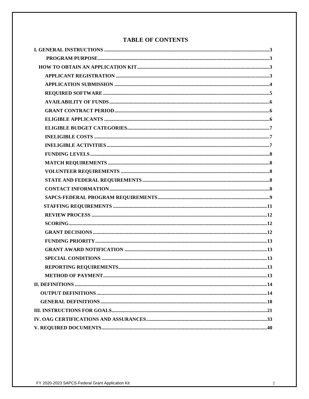## **TABLE OF CONTENTS**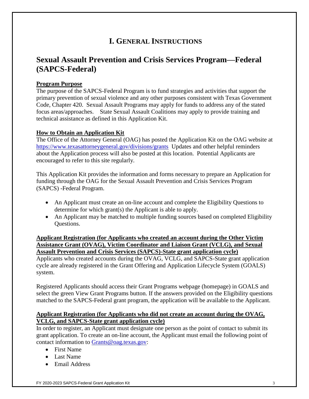## **I. GENERAL INSTRUCTIONS**

## **Sexual Assault Prevention and Crisis Services Program—Federal (SAPCS-Federal)**

## **Program Purpose**

The purpose of the SAPCS-Federal Program is to fund strategies and activities that support the primary prevention of sexual violence and any other purposes consistent with Texas Government Code, Chapter 420. Sexual Assault Programs may apply for funds to address any of the stated focus areas/approaches. State Sexual Assault Coalitions may apply to provide training and technical assistance as defined in this Application Kit.

## **How to Obtain an Application Kit**

The Office of the Attorney General (OAG) has posted the Application Kit on the OAG website at <https://www.texasattorneygeneral.gov/divisions/grants> Updates and other helpful reminders about the Application process will also be posted at this location. Potential Applicants are encouraged to refer to this site regularly.

This Application Kit provides the information and forms necessary to prepare an Application for funding through the OAG for the Sexual Assault Prevention and Crisis Services Program (SAPCS) -Federal Program.

- An Applicant must create an on-line account and complete the Eligibility Questions to determine for which grant(s) the Applicant is able to apply.
- An Applicant may be matched to multiple funding sources based on completed Eligibility Questions.

**Applicant Registration (for Applicants who created an account during the Other Victim Assistance Grant (OVAG), Victim Coordinator and Liaison Grant (VCLG), and Sexual Assault Prevention and Crisis Services (SAPCS)-State grant application cycle)**

Applicants who created accounts during the OVAG, VCLG, and SAPCS-State grant application cycle are already registered in the Grant Offering and Application Lifecycle System (GOALS) system.

Registered Applicants should access their Grant Programs webpage (homepage) in GOALS and select the green View Grant Programs button. If the answers provided on the Eligibility questions matched to the SAPCS-Federal grant program, the application will be available to the Applicant.

## **Applicant Registration (for Applicants who did not create an account during the OVAG, VCLG, and SAPCS-State grant application cycle)**

In order to register, an Applicant must designate one person as the point of contact to submit its grant application. To create an on-line account, the Applicant must email the following point of contact information to [Grants@oag.texas.gov:](mailto:Grants@oag.texas.gov)

- First Name
- Last Name
- Email Address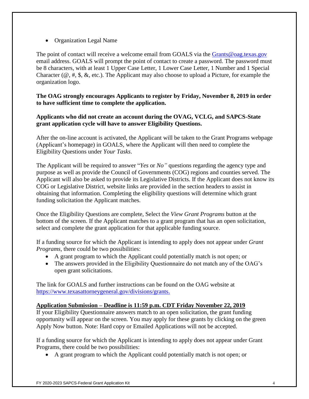• Organization Legal Name

The point of contact will receive a welcome email from GOALS via the [Grants@oag.texas.gov](mailto:Grants@oag.texas.gov) email address. GOALS will prompt the point of contact to create a password. The password must be 8 characters, with at least 1 Upper Case Letter, 1 Lower Case Letter, 1 Number and 1 Special Character ( $\mathcal{Q}, \#$ ,  $\mathcal{S}, \mathcal{X},$  etc.). The Applicant may also choose to upload a Picture, for example the organization logo.

**The OAG strongly encourages Applicants to register by Friday, November 8, 2019 in order to have sufficient time to complete the application.** 

**Applicants who did not create an account during the OVAG, VCLG, and SAPCS-State grant application cycle will have to answer Eligibility Questions.** 

After the on-line account is activated, the Applicant will be taken to the Grant Programs webpage (Applicant's homepage) in GOALS, where the Applicant will then need to complete the Eligibility Questions under *Your Tasks*.

The Applicant will be required to answer "*Yes* or *No"* questions regarding the agency type and purpose as well as provide the Council of Governments (COG) regions and counties served. The Applicant will also be asked to provide its Legislative Districts. If the Applicant does not know its COG or Legislative District, website links are provided in the section headers to assist in obtaining that information. Completing the eligibility questions will determine which grant funding solicitation the Applicant matches.

Once the Eligibility Questions are complete, Select the *View Grant Programs* button at the bottom of the screen. If the Applicant matches to a grant program that has an open solicitation, select and complete the grant application for that applicable funding source.

If a funding source for which the Applicant is intending to apply does not appear under *Grant Programs*, there could be two possibilities:

- A grant program to which the Applicant could potentially match is not open; or
- The answers provided in the Eligibility Questionnaire do not match any of the OAG's open grant solicitations.

The link for GOALS and further instructions can be found on the OAG website at [https://www.texasattorneygeneral.gov/divisions/grants.](https://www.texasattorneygeneral.gov/divisions/grants)

## **Application Submission – Deadline is 11:59 p.m. CDT Friday November 22, 2019**

If your Eligibility Questionnaire answers match to an open solicitation, the grant funding opportunity will appear on the screen. You may apply for these grants by clicking on the green Apply Now button. Note: Hard copy or Emailed Applications will not be accepted.

If a funding source for which the Applicant is intending to apply does not appear under Grant Programs, there could be two possibilities:

• A grant program to which the Applicant could potentially match is not open; or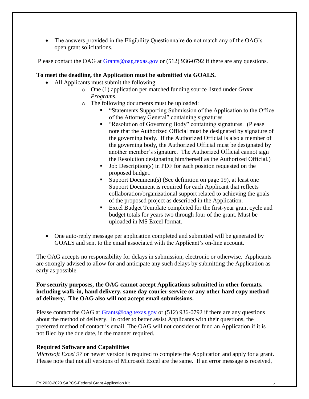• The answers provided in the Eligibility Questionnaire do not match any of the OAG's open grant solicitations.

Please contact the OAG at [Grants@oag.texas.gov](mailto:Grants@oag.texas.gov) or (512) 936-0792 if there are any questions.

## **To meet the deadline, the Application must be submitted via GOALS.**

- All Applicants must submit the following:
	- o One (1) application per matched funding source listed under *Grant Programs*.
	- o The following documents must be uploaded:
		- "Statements Supporting Submission of the Application to the Office of the Attorney General" containing signatures.
		- "Resolution of Governing Body" containing signatures. (Please note that the Authorized Official must be designated by signature of the governing body. If the Authorized Official is also a member of the governing body, the Authorized Official must be designated by another member's signature. The Authorized Official cannot sign the Resolution designating him/herself as the Authorized Official.)
		- Job Description(s) in PDF for each position requested on the proposed budget.
		- Support Document(s) (See definition on page 19), at least one Support Document is required for each Applicant that reflects collaboration/organizational support related to achieving the goals of the proposed project as described in the Application.
		- Excel Budget Template completed for the first-year grant cycle and budget totals for years two through four of the grant. Must be uploaded in MS Excel format.
- One auto-reply message per application completed and submitted will be generated by GOALS and sent to the email associated with the Applicant's on-line account.

The OAG accepts no responsibility for delays in submission, electronic or otherwise. Applicants are strongly advised to allow for and anticipate any such delays by submitting the Application as early as possible.

#### **For security purposes, the OAG cannot accept Applications submitted in other formats, including walk-in, hand delivery, same day courier service or any other hard copy method of delivery. The OAG also will not accept email submissions.**

Please contact the OAG at [Grants@oag.texas.gov](mailto:Grants@oag.texas.gov) or (512) 936-0792 if there are any questions about the method of delivery. In order to better assist Applicants with their questions, the preferred method of contact is email. The OAG will not consider or fund an Application if it is not filed by the due date, in the manner required.

## **Required Software and Capabilities**

*Microsoft Excel 97* or newer version is required to complete the Application and apply for a grant. Please note that not all versions of Microsoft Excel are the same. If an error message is received,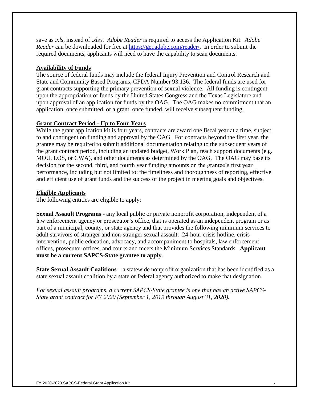save as *.xls*, instead of .*xlsx. Adobe Reader* is required to access the Application Kit. *Adobe Reader* can be downloaded for free at [https://get.adobe.com/reader/.](https://get.adobe.com/reader/) In order to submit the required documents, applicants will need to have the capability to scan documents.

#### **Availability of Funds**

The source of federal funds may include the federal Injury Prevention and Control Research and State and Community Based Programs, CFDA Number 93.136. The federal funds are used for grant contracts supporting the primary prevention of sexual violence. All funding is contingent upon the appropriation of funds by the United States Congress and the Texas Legislature and upon approval of an application for funds by the OAG. The OAG makes no commitment that an application, once submitted, or a grant, once funded, will receive subsequent funding.

#### **Grant Contract Period - Up to Four Years**

While the grant application kit is four years, contracts are award one fiscal year at a time, subject to and contingent on funding and approval by the OAG. For contracts beyond the first year, the grantee may be required to submit additional documentation relating to the subsequent years of the grant contract period, including an updated budget, Work Plan, reach support documents (e.g. MOU, LOS, or CWA), and other documents as determined by the OAG. The OAG may base its decision for the second, third, and fourth year funding amounts on the grantee's first year performance, including but not limited to: the timeliness and thoroughness of reporting, effective and efficient use of grant funds and the success of the project in meeting goals and objectives.

#### **Eligible Applicants**

The following entities are eligible to apply:

**Sexual Assault Programs** *-* any local public or private nonprofit corporation, independent of a law enforcement agency or prosecutor's office, that is operated as an independent program or as part of a municipal, county, or state agency and that provides the following minimum services to adult survivors of stranger and non-stranger sexual assault: 24-hour crisis hotline, crisis intervention, public education, advocacy, and accompaniment to hospitals, law enforcement offices, prosecutor offices, and courts and meets the Minimum Services Standards. **Applicant must be a current SAPCS-State grantee to apply**.

**State Sexual Assault Coalitions** *–* a statewide nonprofit organization that has been identified as a state sexual assault coalition by a state or federal agency authorized to make that designation.

*For sexual assault programs, a current SAPCS-State grantee is one that has an active SAPCS-State grant contract for FY 2020 (September 1, 2019 through August 31, 2020).*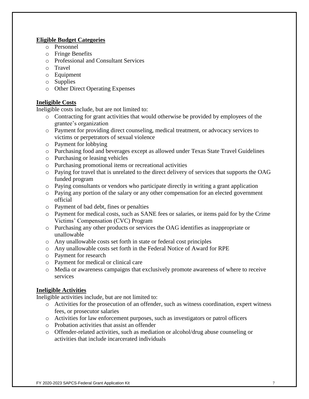## **Eligible Budget Categories**

- o Personnel
- o Fringe Benefits
- o Professional and Consultant Services
- o Travel
- o Equipment
- o Supplies
- o Other Direct Operating Expenses

## **Ineligible Costs**

Ineligible costs include, but are not limited to:

- o Contracting for grant activities that would otherwise be provided by employees of the grantee's organization
- o Payment for providing direct counseling, medical treatment, or advocacy services to victims or perpetrators of sexual violence
- o Payment for lobbying
- o Purchasing food and beverages except as allowed under Texas State Travel Guidelines
- o Purchasing or leasing vehicles
- o Purchasing promotional items or recreational activities
- o Paying for travel that is unrelated to the direct delivery of services that supports the OAG funded program
- $\circ$  Paying consultants or vendors who participate directly in writing a grant application
- o Paying any portion of the salary or any other compensation for an elected government official
- o Payment of bad debt, fines or penalties
- o Payment for medical costs, such as SANE fees or salaries, or items paid for by the Crime Victims' Compensation (CVC) Program
- o Purchasing any other products or services the OAG identifies as inappropriate or unallowable
- o Any unallowable costs set forth in state or federal cost principles
- o Any unallowable costs set forth in the Federal Notice of Award for RPE
- o Payment for research
- o Payment for medical or clinical care
- o Media or awareness campaigns that exclusively promote awareness of where to receive services

## **Ineligible Activities**

Ineligible activities include, but are not limited to:

- o Activities for the prosecution of an offender, such as witness coordination, expert witness fees, or prosecutor salaries
- o Activities for law enforcement purposes, such as investigators or patrol officers
- o Probation activities that assist an offender
- o Offender-related activities, such as mediation or alcohol/drug abuse counseling or activities that include incarcerated individuals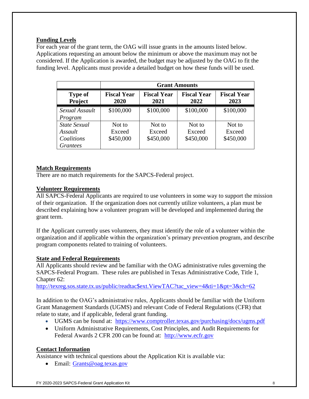## **Funding Levels**

For each year of the grant term, the OAG will issue grants in the amounts listed below. Applications requesting an amount below the minimum or above the maximum may not be considered. If the Application is awarded, the budget may be adjusted by the OAG to fit the funding level. Applicants must provide a detailed budget on how these funds will be used.

|                                                                 |                               |                               | <b>Grant Amounts</b>          |                               |
|-----------------------------------------------------------------|-------------------------------|-------------------------------|-------------------------------|-------------------------------|
| <b>Type of</b><br>Project                                       | <b>Fiscal Year</b><br>2020    | <b>Fiscal Year</b><br>2021    | <b>Fiscal Year</b><br>2022    | <b>Fiscal Year</b><br>2023    |
| Sexual Assault<br>Program                                       | \$100,000                     | \$100,000                     | \$100,000                     | \$100,000                     |
| <b>State Sexual</b><br>Assault<br>Coalitions<br><b>Grantees</b> | Not to<br>Exceed<br>\$450,000 | Not to<br>Exceed<br>\$450,000 | Not to<br>Exceed<br>\$450,000 | Not to<br>Exceed<br>\$450,000 |

## **Match Requirements**

There are no match requirements for the SAPCS-Federal project.

## **Volunteer Requirements**

All SAPCS-Federal Applicants are required to use volunteers in some way to support the mission of their organization. If the organization does not currently utilize volunteers, a plan must be described explaining how a volunteer program will be developed and implemented during the grant term.

If the Applicant currently uses volunteers, they must identify the role of a volunteer within the organization and if applicable within the organization's primary prevention program, and describe program components related to training of volunteers.

## **State and Federal Requirements**

All Applicants should review and be familiar with the OAG administrative rules governing the SAPCS-Federal Program. These rules are published in Texas Administrative Code, Title 1, Chapter 62:

[http://texreg.sos.state.tx.us/public/readtac\\$ext.ViewTAC?tac\\_view=4&ti=1&pt=3&ch=62](http://texreg.sos.state.tx.us/public/readtac$ext.ViewTAC?tac_view=4&ti=1&pt=3&ch=62)

In addition to the OAG's administrative rules, Applicants should be familiar with the Uniform Grant Management Standards (UGMS) and relevant Code of Federal Regulations (CFR) that relate to state, and if applicable, federal grant funding.

- UGMS can be found at: <https://www.comptroller.texas.gov/purchasing/docs/ugms.pdf>
- Uniform Administrative Requirements, Cost Principles, and Audit Requirements for Federal Awards 2 CFR 200 can be found at: [http://www.ecfr.gov](http://www.ecfr.gov/)

## **Contact Information**

Assistance with technical questions about the Application Kit is available via:

• Email: Grants@oag.texas.gov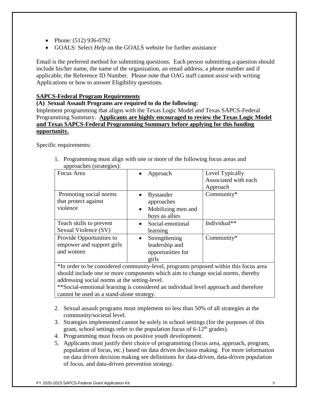- Phone: (512) 936-0792
- GOALS: Select *Help* on the GOALS website for further assistance

Email is the preferred method for submitting questions. Each person submitting a question should include his/her name, the name of the organization, an email address, a phone number and if applicable, the Reference ID Number. Please note that OAG staff cannot assist with writing Applications or how to answer Eligibility questions.

#### **SAPCS-Federal Program Requirements**

#### **(A) Sexual Assault Programs are required to do the following:**

Implement programming that aligns with the Texas Logic Model and Texas SAPCS-Federal Programming Summary. **Applicants are highly encouraged to review the Texas Logic Model and Texas SAPCS-Federal Programming Summary before applying for this funding opportunity.**

Specific requirements:

1. Programming must align with one or more of the following focus areas and approaches (strategies):

| $_{\rm{approx}}$          |                      |                      |
|---------------------------|----------------------|----------------------|
| Focus Area                | Approach             | Level Typically      |
|                           |                      | Associated with each |
|                           |                      | Approach             |
| Promoting social norms    | <b>Bystander</b>     | Community*           |
| that protect against      | approaches           |                      |
| violence                  | • Mobilizing men and |                      |
|                           | boys as allies       |                      |
| Teach skills to prevent   | Social-emotional     | Individual**         |
| Sexual Violence (SV)      | learning             |                      |
| Provide Opportunities to  | Strengthening        | $Commuty*$           |
| empower and support girls | leadership and       |                      |
| and women                 | opportunities for    |                      |
|                           | girls                |                      |

\*In order to be considered community-level, programs proposed within this focus area should include one or more components which aim to change social norms, thereby addressing social norms at the setting-level.

\*\*Social-emotional learning is considered an individual level approach and therefore cannot be used as a stand-alone strategy.

- 2. Sexual assault programs must implement no less than 50% of all strategies at the community/societal level.
- 3. Strategies implemented cannot be solely in school settings (for the purposes of this grant, school settings refer to the population focus of  $6-12<sup>th</sup>$  grades).
- 4. Programming must focus on positive youth development.
- 5. Applicants must justify their choice of programming (focus area, approach, program, population of focus, etc.) based on data driven decision making. For more information on data driven decision making see definitions for data-driven, data-driven population of focus, and data-driven prevention strategy.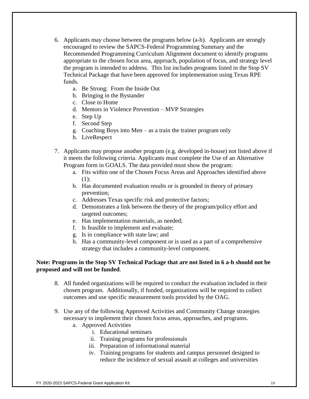- 6. Applicants may choose between the programs below (a-h). Applicants are strongly encouraged to review the SAPCS-Federal Programming Summary and the Recommended Programming Curriculum Alignment document to identify programs appropriate to the chosen focus area, approach, population of focus, and strategy level the program is intended to address. This list includes programs listed in the Stop SV Technical Package that have been approved for implementation using Texas RPE funds.
	- a. Be Strong: From the Inside Out
	- b. Bringing in the Bystander
	- c. Close to Home
	- d. Mentors in Violence Prevention MVP Strategies
	- e. Step Up
	- f. Second Step
	- g. Coaching Boys into Men as a train the trainer program only
	- h. LiveRespect
- 7. Applicants may propose another program (e.g. developed in-house) not listed above if it meets the following criteria. Applicants must complete the Use of an Alternative Program form in GOALS. The data provided must show the program:
	- a. Fits within one of the Chosen Focus Areas and Approaches identified above (1);
	- b. Has documented evaluation results or is grounded in theory of primary prevention;
	- c. Addresses Texas specific risk and protective factors;
	- d. Demonstrates a link between the theory of the program/policy effort and targeted outcomes;
	- e. Has implementation materials, as needed;
	- f. Is feasible to implement and evaluate;
	- g. Is in compliance with state law; and
	- h. Has a community-level component or is used as a part of a comprehensive strategy that includes a community-level component.

#### **Note: Programs in the Stop SV Technical Package that are not listed in 6 a-h should not be proposed and will not be funded**.

- 8. All funded organizations will be required to conduct the evaluation included in their chosen program. Additionally, if funded, organizations will be required to collect outcomes and use specific measurement tools provided by the OAG.
- 9. Use any of the following Approved Activities and Community Change strategies necessary to implement their chosen focus areas, approaches, and programs.
	- a. Approved Activities
		- i. Educational seminars
		- ii. Training programs for professionals
		- iii. Preparation of informational material
		- iv. Training programs for students and campus personnel designed to reduce the incidence of sexual assault at colleges and universities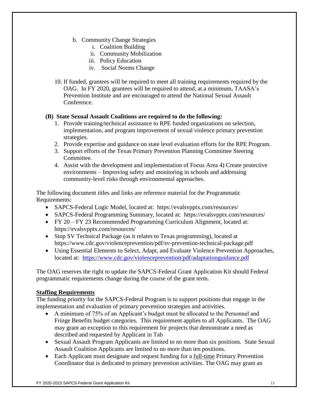- b. Community Change Strategies
	- i. Coalition Building
	- ii. Community Mobilization
	- iii. Policy Education
	- iv. Social Norms Change
- 10. If funded, grantees will be required to meet all training requirements required by the OAG. In FY 2020, grantees will be required to attend, at a minimum, TAASA's Prevention Institute and are encouraged to attend the National Sexual Assault Conference.

## **(B) State Sexual Assault Coalitions are required to do the following:**

- 1. Provide training/technical assistance to RPE funded organizations on selection, implementation, and program improvement of sexual violence primary prevention strategies.
- 2. Provide expertise and guidance on state level evaluation efforts for the RPE Program.
- 3. Support efforts of the Texas Primary Prevention Planning Committee Steering Committee.
- 4. Assist with the development and implementation of Focus Area 4) Create protective environments – Improving safety and monitoring in schools and addressing community-level risks through environmental approaches.

The following document titles and links are reference material for the Programmatic Requirements:

- SAPCS-Federal Logic Model, located at: https://evalsvpptx.com/resources/
- SAPCS-Federal Programming Summary, located at: https://evalsvpptx.com/resources/
- FY 20 FY 23 Recommended Programming Curriculum Alignment, located at: https://evalsvpptx.com/resources/
- Stop SV Technical Package (as it relates to Texas programming), located at https://www.cdc.gov/violenceprevention/pdf/sv-prevention-technical-package.pdf
- Using Essential Elements to Select, Adapt, and Evaluate Violence Prevention Approaches, located at: <https://www.cdc.gov/violenceprevention/pdf/adaptationguidance.pdf>

The OAG reserves the right to update the SAPCS-Federal Grant Application Kit should Federal programmatic requirements change during the course of the grant term.

## **Staffing Requirements**

The funding priority for the SAPCS-Federal Program is to support positions that engage in the implementation and evaluation of primary prevention strategies and activities.

- A minimum of 75% of an Applicant's budget must be allocated to the Personnel and Fringe Benefits budget categories. This requirement applies to all Applicants. The OAG may grant an exception to this requirement for projects that demonstrate a need as described and requested by Applicant in Tab
- Sexual Assault Program Applicants are limited to no more than six positions. State Sexual Assault Coalition Applicants are limited to no more than ten positions.
- Each Applicant must designate and request funding for a full-time Primary Prevention Coordinator that is dedicated to primary prevention activities. The OAG may grant an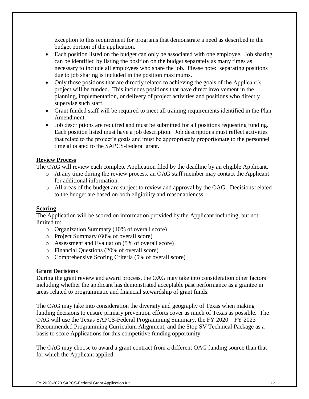exception to this requirement for programs that demonstrate a need as described in the budget portion of the application.

- Each position listed on the budget can only be associated with one employee. Job sharing can be identified by listing the position on the budget separately as many times as necessary to include all employees who share the job. Please note: separating positions due to job sharing is included in the position maximums.
- Only those positions that are directly related to achieving the goals of the Applicant's project will be funded. This includes positions that have direct involvement in the planning, implementation, or delivery of project activities and positions who directly supervise such staff.
- Grant funded staff will be required to meet all training requirements identified in the Plan Amendment.
- Job descriptions are required and must be submitted for all positions requesting funding. Each position listed must have a job description. Job descriptions must reflect activities that relate to the project's goals and must be appropriately proportionate to the personnel time allocated to the SAPCS-Federal grant.

## **Review Process**

The OAG will review each complete Application filed by the deadline by an eligible Applicant.

- o At any time during the review process, an OAG staff member may contact the Applicant for additional information.
- o All areas of the budget are subject to review and approval by the OAG. Decisions related to the budget are based on both eligibility and reasonableness.

## **Scoring**

The Application will be scored on information provided by the Applicant including, but not limited to:

- o Organization Summary (10% of overall score)
- o Project Summary (60% of overall score)
- o Assessment and Evaluation (5% of overall score)
- o Financial Questions (20% of overall score)
- o Comprehensive Scoring Criteria (5% of overall score)

## **Grant Decisions**

During the grant review and award process, the OAG may take into consideration other factors including whether the applicant has demonstrated acceptable past performance as a grantee in areas related to programmatic and financial stewardship of grant funds.

The OAG may take into consideration the diversity and geography of Texas when making funding decisions to ensure primary prevention efforts cover as much of Texas as possible. The OAG will use the Texas SAPCS-Federal Programming Summary, the FY 2020 – FY 2023 Recommended Programming Curriculum Alignment, and the Stop SV Technical Package as a basis to score Applications for this competitive funding opportunity.

The OAG may choose to award a grant contract from a different OAG funding source than that for which the Applicant applied.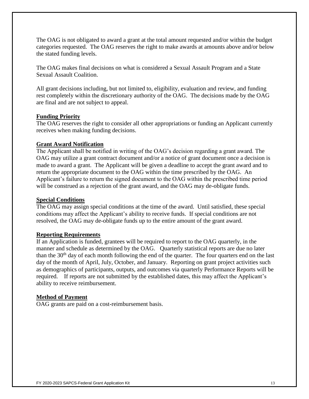The OAG is not obligated to award a grant at the total amount requested and/or within the budget categories requested. The OAG reserves the right to make awards at amounts above and/or below the stated funding levels.

The OAG makes final decisions on what is considered a Sexual Assault Program and a State Sexual Assault Coalition.

All grant decisions including, but not limited to, eligibility, evaluation and review, and funding rest completely within the discretionary authority of the OAG. The decisions made by the OAG are final and are not subject to appeal.

#### **Funding Priority**

The OAG reserves the right to consider all other appropriations or funding an Applicant currently receives when making funding decisions.

#### **Grant Award Notification**

The Applicant shall be notified in writing of the OAG's decision regarding a grant award. The OAG may utilize a grant contract document and/or a notice of grant document once a decision is made to award a grant. The Applicant will be given a deadline to accept the grant award and to return the appropriate document to the OAG within the time prescribed by the OAG. An Applicant's failure to return the signed document to the OAG within the prescribed time period will be construed as a rejection of the grant award, and the OAG may de-obligate funds.

#### **Special Conditions**

The OAG may assign special conditions at the time of the award. Until satisfied, these special conditions may affect the Applicant's ability to receive funds. If special conditions are not resolved, the OAG may de-obligate funds up to the entire amount of the grant award.

#### **Reporting Requirements**

If an Application is funded, grantees will be required to report to the OAG quarterly, in the manner and schedule as determined by the OAG. Quarterly statistical reports are due no later than the  $30<sup>th</sup>$  day of each month following the end of the quarter. The four quarters end on the last day of the month of April, July, October, and January. Reporting on grant project activities such as demographics of participants, outputs, and outcomes via quarterly Performance Reports will be required. If reports are not submitted by the established dates, this may affect the Applicant's ability to receive reimbursement.

#### **Method of Payment**

OAG grants are paid on a cost-reimbursement basis.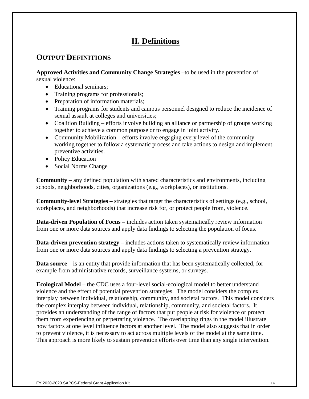# **II. Definitions**

## **OUTPUT DEFINITIONS**

**Approved Activities and Community Change Strategies –**to be used in the prevention of sexual violence:

- Educational seminars:
- Training programs for professionals;
- Preparation of information materials;
- Training programs for students and campus personnel designed to reduce the incidence of sexual assault at colleges and universities;
- Coalition Building efforts involve building an alliance or partnership of groups working together to achieve a common purpose or to engage in joint activity.
- Community Mobilization efforts involve engaging every level of the community working together to follow a systematic process and take actions to design and implement preventive activities.
- Policy Education
- Social Norms Change

**Community** – any defined population with shared characteristics and environments, including schools, neighborhoods, cities, organizations (e.g., workplaces), or institutions.

**Community-level Strategies –** strategies that target the characteristics of settings (e.g., school, workplaces, and neighborhoods) that increase risk for, or protect people from, violence.

**Data-driven Population of Focus –** includes action taken systematically review information from one or more data sources and apply data findings to selecting the population of focus.

**Data-driven prevention strategy** – includes actions taken to systematically review information from one or more data sources and apply data findings to selecting a prevention strategy.

**Data source** – is an entity that provide information that has been systematically collected, for example from administrative records, surveillance systems, or surveys.

**Ecological Model – t**he CDC uses a four-level social-ecological model to better understand violence and the effect of potential prevention strategies. The model considers the complex interplay between individual, relationship, community, and societal factors. This model considers the complex interplay between individual, relationship, community, and societal factors. It provides an understanding of the range of factors that put people at risk for violence or protect them from experiencing or perpetrating violence. The overlapping rings in the model illustrate how factors at one level influence factors at another level. The model also suggests that in order to prevent violence, it is necessary to act across multiple levels of the model at the same time. This approach is more likely to sustain prevention efforts over time than any single intervention.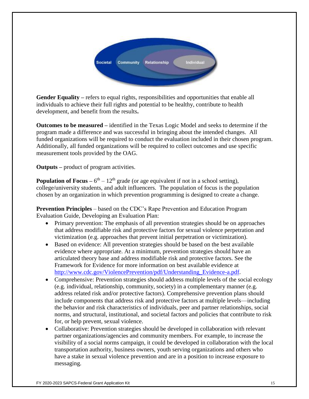

**Gender Equality –** refers to equal rights, responsibilities and opportunities that enable all individuals to achieve their full rights and potential to be healthy, contribute to health development, and benefit from the results**.** 

**Outcomes to be measured –** identified in the Texas Logic Model and seeks to determine if the program made a difference and was successful in bringing about the intended changes. All funded organizations will be required to conduct the evaluation included in their chosen program. Additionally, all funded organizations will be required to collect outcomes and use specific measurement tools provided by the OAG.

**Outputs –** product of program activities.

**Population of Focus** –  $6<sup>th</sup>$  –  $12<sup>th</sup>$  grade (or age equivalent if not in a school setting), college/university students, and adult influencers. The population of focus is the population chosen by an organization in which prevention programming is designed to create a change.

**Prevention Principles** – based on the CDC's Rape Prevention and Education Program Evaluation Guide, Developing an Evaluation Plan:

- Primary prevention: The emphasis of all prevention strategies should be on approaches that address modifiable risk and protective factors for sexual violence perpetration and victimization (e.g. approaches that prevent initial perpetration or victimization).
- Based on evidence: All prevention strategies should be based on the best available evidence where appropriate. At a minimum, prevention strategies should have an articulated theory base and address modifiable risk and protective factors. See the Framework for Evidence for more information on best available evidence at [http://www.cdc.gov/ViolencePrevention/pdf/Understanding\\_Evidence-a.pdf.](http://www.cdc.gov/ViolencePrevention/pdf/Understanding_Evidence-a.pdf)
- Comprehensive: Prevention strategies should address multiple levels of the social ecology (e.g. individual, relationship, community, society) in a complementary manner (e.g. address related risk and/or protective factors). Comprehensive prevention plans should include components that address risk and protective factors at multiple levels—including the behavior and risk characteristics of individuals, peer and partner relationships, social norms, and structural, institutional, and societal factors and policies that contribute to risk for, or help prevent, sexual violence.
- Collaborative: Prevention strategies should be developed in collaboration with relevant partner organizations/agencies and community members. For example, to increase the visibility of a social norms campaign, it could be developed in collaboration with the local transportation authority, business owners, youth serving organizations and others who have a stake in sexual violence prevention and are in a position to increase exposure to messaging.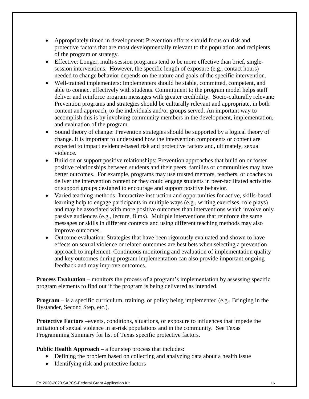- Appropriately timed in development: Prevention efforts should focus on risk and protective factors that are most developmentally relevant to the population and recipients of the program or strategy.
- Effective: Longer, multi-session programs tend to be more effective than brief, singlesession interventions. However, the specific length of exposure (e.g., contact hours) needed to change behavior depends on the nature and goals of the specific intervention.
- Well-trained implementers: Implementers should be stable, committed, competent, and able to connect effectively with students. Commitment to the program model helps staff deliver and reinforce program messages with greater credibility. Socio-culturally relevant: Prevention programs and strategies should be culturally relevant and appropriate, in both content and approach, to the individuals and/or groups served. An important way to accomplish this is by involving community members in the development, implementation, and evaluation of the program.
- Sound theory of change: Prevention strategies should be supported by a logical theory of change. It is important to understand how the intervention components or content are expected to impact evidence-based risk and protective factors and, ultimately, sexual violence.
- Build on or support positive relationships: Prevention approaches that build on or foster positive relationships between students and their peers, families or communities may have better outcomes. For example, programs may use trusted mentors, teachers, or coaches to deliver the intervention content or they could engage students in peer-facilitated activities or support groups designed to encourage and support positive behavior.
- Varied teaching methods: Interactive instruction and opportunities for active, skills-based learning help to engage participants in multiple ways (e.g., writing exercises, role plays) and may be associated with more positive outcomes than interventions which involve only passive audiences (e.g., lecture, films). Multiple interventions that reinforce the same messages or skills in different contexts and using different teaching methods may also improve outcomes.
- Outcome evaluation: Strategies that have been rigorously evaluated and shown to have effects on sexual violence or related outcomes are best bets when selecting a prevention approach to implement. Continuous monitoring and evaluation of implementation quality and key outcomes during program implementation can also provide important ongoing feedback and may improve outcomes.

**Process Evaluation** – monitors the process of a program's implementation by assessing specific program elements to find out if the program is being delivered as intended.

**Program** – is a specific curriculum, training, or policy being implemented (e.g., Bringing in the Bystander, Second Step, etc.).

**Protective Factors** –events, conditions, situations, or exposure to influences that impede the initiation of sexual violence in at-risk populations and in the community. See Texas Programming Summary for list of Texas specific protective factors.

## **Public Health Approach** – a four step process that includes:

- Defining the problem based on collecting and analyzing data about a health issue
- Identifying risk and protective factors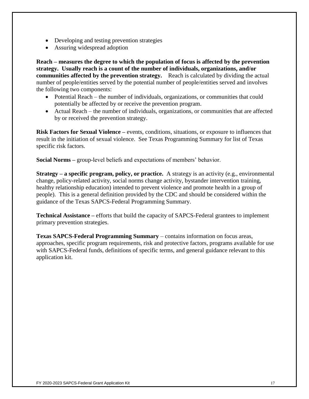- Developing and testing prevention strategies
- Assuring widespread adoption

**Reach – measures the degree to which the population of focus is affected by the prevention strategy. Usually reach is a count of the number of individuals, organizations, and/or communities affected by the prevention strategy.** Reach is calculated by dividing the actual number of people/entities served by the potential number of people/entities served and involves the following two components:

- Potential Reach the number of individuals, organizations, or communities that could potentially be affected by or receive the prevention program.
- Actual Reach the number of individuals, organizations, or communities that are affected by or received the prevention strategy.

**Risk Factors for Sexual Violence –** events, conditions, situations, or exposure to influences that result in the initiation of sexual violence. See Texas Programming Summary for list of Texas specific risk factors.

**Social Norms –** group-level beliefs and expectations of members' behavior.

**Strategy – a specific program, policy, or practice.** A strategy is an activity (e.g., environmental change, policy-related activity, social norms change activity, bystander intervention training, healthy relationship education) intended to prevent violence and promote health in a group of people). This is a general definition provided by the CDC and should be considered within the guidance of the Texas SAPCS-Federal Programming Summary.

**Technical Assistance –** efforts that build the capacity of SAPCS-Federal grantees to implement primary prevention strategies.

**Texas SAPCS-Federal Programming Summary** – contains information on focus areas, approaches, specific program requirements, risk and protective factors, programs available for use with SAPCS-Federal funds, definitions of specific terms, and general guidance relevant to this application kit.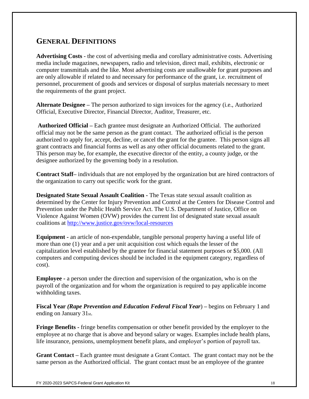## **GENERAL DEFINITIONS**

**Advertising Costs** - the cost of advertising media and corollary administrative costs. Advertising media include magazines, newspapers, radio and television, direct mail, exhibits, electronic or computer transmittals and the like. Most advertising costs are unallowable for grant purposes and are only allowable if related to and necessary for performance of the grant, i.e. recruitment of personnel, procurement of goods and services or disposal of surplus materials necessary to meet the requirements of the grant project.

**Alternate Designee –** The person authorized to sign invoices for the agency (i.e., Authorized Official, Executive Director, Financial Director, Auditor, Treasurer, etc.

**Authorized Official –** Each grantee must designate an Authorized Official. The authorized official may not be the same person as the grant contact. The authorized official is the person authorized to apply for, accept, decline, or cancel the grant for the grantee. This person signs all grant contracts and financial forms as well as any other official documents related to the grant. This person may be, for example, the executive director of the entity, a county judge, or the designee authorized by the governing body in a resolution.

**Contract Staff–** individuals that are not employed by the organization but are hired contractors of the organization to carry out specific work for the grant.

**Designated State Sexual Assault Coalition -** The Texas state sexual assault coalition as determined by the Center for Injury Prevention and Control at the Centers for Disease Control and Prevention under the Public Health Service Act. The U.S. Department of Justice, Office on Violence Against Women (OVW) provides the current list of designated state sexual assault coalitions at<http://www.justice.gov/ovw/local-resources>

**Equipment -** an article of non-expendable, tangible personal property having a useful life of more than one (1) year and a per unit acquisition cost which equals the lesser of the capitalization level established by the grantee for financial statement purposes or \$5,000. (All computers and computing devices should be included in the equipment category, regardless of cost).

**Employee -** a person under the direction and supervision of the organization, who is on the payroll of the organization and for whom the organization is required to pay applicable income withholding taxes.

**Fiscal Year** *(Rape Prevention and Education Federal Fiscal Year*) **–** begins on February 1 and ending on January 31st.

**Fringe Benefits -** fringe benefits compensation or other benefit provided by the employer to the employee at no charge that is above and beyond salary or wages. Examples include health plans, life insurance, pensions, unemployment benefit plans, and employer's portion of payroll tax.

**Grant Contact –** Each grantee must designate a Grant Contact. The grant contact may not be the same person as the Authorized official. The grant contact must be an employee of the grantee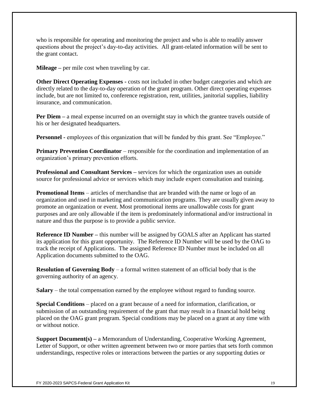who is responsible for operating and monitoring the project and who is able to readily answer questions about the project's day-to-day activities. All grant-related information will be sent to the grant contact.

**Mileage –** per mile cost when traveling by car.

**Other Direct Operating Expenses -** costs not included in other budget categories and which are directly related to the day-to-day operation of the grant program. Other direct operating expenses include, but are not limited to, conference registration, rent, utilities, janitorial supplies, liability insurance, and communication.

**Per Diem** – a meal expense incurred on an overnight stay in which the grantee travels outside of his or her designated headquarters.

**Personnel -** employees of this organization that will be funded by this grant. See "Employee."

**Primary Prevention Coordinator** – responsible for the coordination and implementation of an organization's primary prevention efforts.

**Professional and Consultant Services –** services for which the organization uses an outside source for professional advice or services which may include expert consultation and training.

**Promotional Items** – articles of merchandise that are branded with the name or logo of an organization and used in marketing and communication programs. They are usually given away to promote an organization or event. Most promotional items are unallowable costs for grant purposes and are only allowable if the item is predominately informational and/or instructional in nature and thus the purpose is to provide a public service.

**Reference ID Number** – this number will be assigned by GOALS after an Applicant has started its application for this grant opportunity. The Reference ID Number will be used by the OAG to track the receipt of Applications. The assigned Reference ID Number must be included on all Application documents submitted to the OAG.

**Resolution of Governing Body** – a formal written statement of an official body that is the governing authority of an agency.

**Salary** – the total compensation earned by the employee without regard to funding source.

**Special Conditions** – placed on a grant because of a need for information, clarification, or submission of an outstanding requirement of the grant that may result in a financial hold being placed on the OAG grant program. Special conditions may be placed on a grant at any time with or without notice.

**Support Document(s)** – a Memorandum of Understanding, Cooperative Working Agreement, Letter of Support, or other written agreement between two or more parties that sets forth common understandings, respective roles or interactions between the parties or any supporting duties or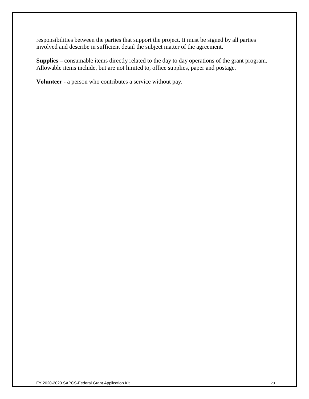responsibilities between the parties that support the project. It must be signed by all parties involved and describe in sufficient detail the subject matter of the agreement.

**Supplies –** consumable items directly related to the day to day operations of the grant program. Allowable items include, but are not limited to, office supplies, paper and postage.

**Volunteer** - a person who contributes a service without pay.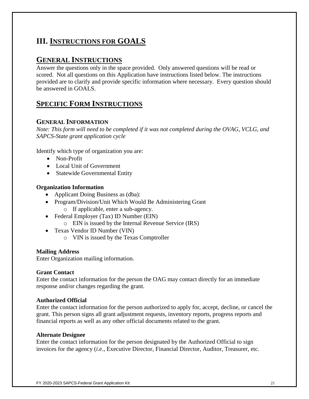## **III. INSTRUCTIONS FOR GOALS**

## **GENERAL INSTRUCTIONS**

Answer the questions only in the space provided. Only answered questions will be read or scored. Not all questions on this Application have instructions listed below. The instructions provided are to clarify and provide specific information where necessary. Every question should be answered in GOALS.

## **SPECIFIC FORM INSTRUCTIONS**

## **GENERAL INFORMATION**

*Note: This form will need to be completed if it was not completed during the OVAG, VCLG, and SAPCS-State grant application cycle*

Identify which type of organization you are:

- Non-Profit
- Local Unit of Government
- Statewide Governmental Entity

#### **Organization Information**

- Applicant Doing Business as (dba):
- Program/Division/Unit Which Would Be Administering Grant
	- o If applicable, enter a sub-agency.
- Federal Employer (Tax) ID Number (EIN)
	- o EIN is issued by the Internal Revenue Service (IRS)
- Texas Vendor ID Number (VIN)
	- o VIN is issued by the Texas Comptroller

#### **Mailing Address**

Enter Organization mailing information.

#### **Grant Contact**

Enter the contact information for the person the OAG may contact directly for an immediate response and/or changes regarding the grant.

#### **Authorized Official**

Enter the contact information for the person authorized to apply for, accept, decline, or cancel the grant. This person signs all grant adjustment requests, inventory reports, progress reports and financial reports as well as any other official documents related to the grant.

#### **Alternate Designee**

Enter the contact information for the person designated by the Authorized Official to sign invoices for the agency (*i.e.,* Executive Director, Financial Director, Auditor, Treasurer, etc.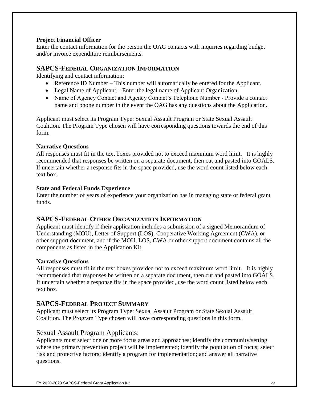## **Project Financial Officer**

Enter the contact information for the person the OAG contacts with inquiries regarding budget and/or invoice expenditure reimbursements.

## **SAPCS-FEDERAL ORGANIZATION INFORMATION**

Identifying and contact information:

- Reference ID Number This number will automatically be entered for the Applicant.
- Legal Name of Applicant Enter the legal name of Applicant Organization.
- Name of Agency Contact and Agency Contact's Telephone Number Provide a contact name and phone number in the event the OAG has any questions about the Application.

Applicant must select its Program Type: Sexual Assault Program or State Sexual Assault Coalition. The Program Type chosen will have corresponding questions towards the end of this form.

## **Narrative Questions**

All responses must fit in the text boxes provided not to exceed maximum word limit. It is highly recommended that responses be written on a separate document, then cut and pasted into GOALS. If uncertain whether a response fits in the space provided, use the word count listed below each text box.

#### **State and Federal Funds Experience**

Enter the number of years of experience your organization has in managing state or federal grant funds.

## **SAPCS-FEDERAL OTHER ORGANIZATION INFORMATION**

Applicant must identify if their application includes a submission of a signed Memorandum of Understanding (MOU), Letter of Support (LOS), Cooperative Working Agreement (CWA), or other support document, and if the MOU, LOS, CWA or other support document contains all the components as listed in the Application Kit.

## **Narrative Questions**

All responses must fit in the text boxes provided not to exceed maximum word limit. It is highly recommended that responses be written on a separate document, then cut and pasted into GOALS. If uncertain whether a response fits in the space provided, use the word count listed below each text box.

## **SAPCS-FEDERAL PROJECT SUMMARY**

Applicant must select its Program Type: Sexual Assault Program or State Sexual Assault Coalition. The Program Type chosen will have corresponding questions in this form.

## Sexual Assault Program Applicants:

Applicants must select one or more focus areas and approaches; identify the community/setting where the primary prevention project will be implemented; identify the population of focus; select risk and protective factors; identify a program for implementation; and answer all narrative questions.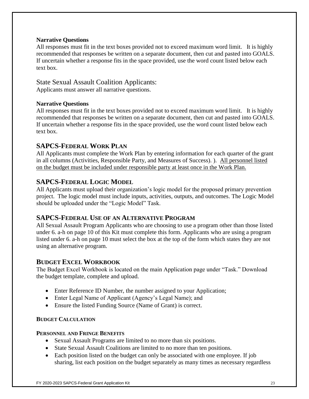#### **Narrative Questions**

All responses must fit in the text boxes provided not to exceed maximum word limit. It is highly recommended that responses be written on a separate document, then cut and pasted into GOALS. If uncertain whether a response fits in the space provided, use the word count listed below each text box.

## State Sexual Assault Coalition Applicants:

Applicants must answer all narrative questions.

## **Narrative Questions**

All responses must fit in the text boxes provided not to exceed maximum word limit. It is highly recommended that responses be written on a separate document, then cut and pasted into GOALS. If uncertain whether a response fits in the space provided, use the word count listed below each text box.

## **SAPCS-FEDERAL WORK PLAN**

All Applicants must complete the Work Plan by entering information for each quarter of the grant in all columns (Activities, Responsible Party, and Measures of Success). ). All personnel listed on the budget must be included under responsible party at least once in the Work Plan.

## **SAPCS-FEDERAL LOGIC MODEL**

All Applicants must upload their organization's logic model for the proposed primary prevention project. The logic model must include inputs, activities, outputs, and outcomes. The Logic Model should be uploaded under the "Logic Model" Task.

## **SAPCS-FEDERAL USE OF AN ALTERNATIVE PROGRAM**

All Sexual Assault Program Applicants who are choosing to use a program other than those listed under 6. a-h on page 10 of this Kit must complete this form. Applicants who are using a program listed under 6. a-h on page 10 must select the box at the top of the form which states they are not using an alternative program.

## **BUDGET EXCEL WORKBOOK**

The Budget Excel Workbook is located on the main Application page under "Task." Download the budget template, complete and upload.

- Enter Reference ID Number, the number assigned to your Application;
- Enter Legal Name of Applicant (Agency's Legal Name); and
- Ensure the listed Funding Source (Name of Grant) is correct.

## **BUDGET CALCULATION**

## **PERSONNEL AND FRINGE BENEFITS**

- Sexual Assault Programs are limited to no more than six positions.
- State Sexual Assault Coalitions are limited to no more than ten positions.
- Each position listed on the budget can only be associated with one employee. If job sharing, list each position on the budget separately as many times as necessary regardless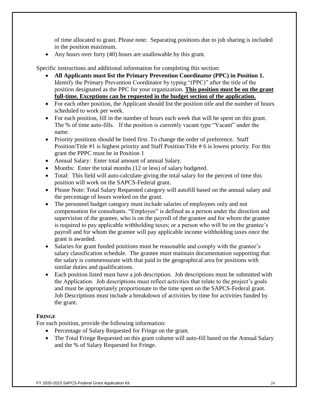of time allocated to grant. Please note: Separating positions due to job sharing is included in the position maximum.

• Any hours over forty (40) hours are unallowable by this grant.

Specific instructions and additional information for completing this section:

- **All Applicants must list the Primary Prevention Coordinator (PPC) in Position 1.** Identify the Primary Prevention Coordinator by typing "(PPC)" after the title of the position designated as the PPC for your organization. **This position must be on the grant full-time. Exceptions can be requested in the budget section of the application.**
- For each other position, the Applicant should list the position title and the number of hours scheduled to work per week.
- For each position, fill in the number of hours each week that will be spent on this grant. The % of time auto-fills. If the position is currently vacant type "Vacant" under the name.
- Priority positions should be listed first. To change the order of preference. Staff Position/Title #1 is highest priority and Staff Position/Title # 6 is lowest priority. For this grant the PPPC must be in Position 1
- Annual Salary: Enter total amount of annual Salary.
- Months: Enter the total months (12 or less) of salary budgeted.
- Total: This field will auto-calculate giving the total salary for the percent of time this position will work on the SAPCS-Federal grant.
- Please Note: Total Salary Requested category will autofill based on the annual salary and the percentage of hours worked on the grant.
- The personnel budget category must include salaries of employees only and not compensation for consultants. "Employee" is defined as a person under the direction and supervision of the grantee, who is on the payroll of the grantee and for whom the grantee is required to pay applicable withholding taxes; or a person who will be on the grantee's payroll and for whom the grantee will pay applicable income withholding taxes once the grant is awarded.
- Salaries for grant funded positions must be reasonable and comply with the grantee's salary classification schedule. The grantee must maintain documentation supporting that the salary is commensurate with that paid in the geographical area for positions with similar duties and qualifications.
- Each position listed must have a job description. Job descriptions must be submitted with the Application. Job descriptions must reflect activities that relate to the project's goals and must be appropriately proportionate to the time spent on the SAPCS-Federal grant. Job Descriptions must include a breakdown of activities by time for activities funded by the grant.

#### **FRINGE**

For each position, provide the following information:

- Percentage of Salary Requested for Fringe on the grant.
- The Total Fringe Requested on this grant column will auto-fill based on the Annual Salary and the % of Salary Requested for Fringe.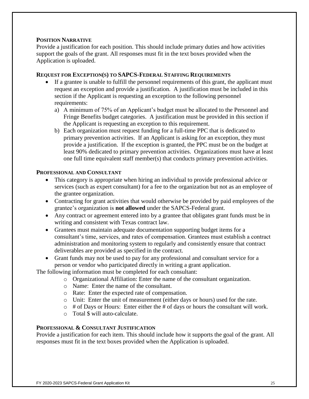#### **POSITION NARRATIVE**

Provide a justification for each position. This should include primary duties and how activities support the goals of the grant. All responses must fit in the text boxes provided when the Application is uploaded.

#### **REQUEST FOR EXCEPTION(S) TO SAPCS-FEDERAL STAFFING REQUIREMENTS**

- If a grantee is unable to fulfill the personnel requirements of this grant, the applicant must request an exception and provide a justification. A justification must be included in this section if the Applicant is requesting an exception to the following personnel requirements:
	- a) A minimum of 75% of an Applicant's budget must be allocated to the Personnel and Fringe Benefits budget categories. A justification must be provided in this section if the Applicant is requesting an exception to this requirement.
	- b) Each organization must request funding for a full-time PPC that is dedicated to primary prevention activities. If an Applicant is asking for an exception, they must provide a justification. If the exception is granted, the PPC must be on the budget at least 90% dedicated to primary prevention activities. Organizations must have at least one full time equivalent staff member(s) that conducts primary prevention activities.

#### **PROFESSIONAL AND CONSULTANT**

- This category is appropriate when hiring an individual to provide professional advice or services (such as expert consultant) for a fee to the organization but not as an employee of the grantee organization.
- Contracting for grant activities that would otherwise be provided by paid employees of the grantee's organization is **not allowed** under the SAPCS-Federal grant.
- Any contract or agreement entered into by a grantee that obligates grant funds must be in writing and consistent with Texas contract law.
- Grantees must maintain adequate documentation supporting budget items for a consultant's time, services, and rates of compensation. Grantees must establish a contract administration and monitoring system to regularly and consistently ensure that contract deliverables are provided as specified in the contract.
- Grant funds may not be used to pay for any professional and consultant service for a person or vendor who participated directly in writing a grant application.

The following information must be completed for each consultant:

- o Organizational Affiliation: Enter the name of the consultant organization.
- o Name: Enter the name of the consultant.
- o Rate: Enter the expected rate of compensation.
- o Unit: Enter the unit of measurement (either days or hours) used for the rate.
- $\circ$  # of Days or Hours: Enter either the # of days or hours the consultant will work.
- o Total \$ will auto-calculate.

#### **PROFESSIONAL & CONSULTANT JUSTIFICATION**

Provide a justification for each item. This should include how it supports the goal of the grant. All responses must fit in the text boxes provided when the Application is uploaded.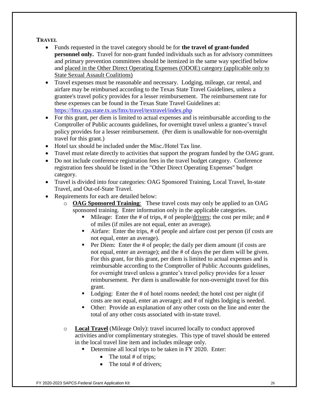## **TRAVEL**

- Funds requested in the travel category should be for **the travel of grant-funded personnel only.** Travel for non-grant funded individuals such as for advisory committees and primary prevention committees should be itemized in the same way specified below and placed in the Other Direct Operating Expenses (ODOE) category (applicable only to State Sexual Assault Coalitions)
- Travel expenses must be reasonable and necessary. Lodging, mileage, car rental, and airfare may be reimbursed according to the Texas State Travel Guidelines, unless a grantee's travel policy provides for a lesser reimbursement. The reimbursement rate for these expenses can be found in the Texas State Travel Guidelines at: <https://fmx.cpa.state.tx.us/fmx/travel/textravel/index.php>
- For this grant, per diem is limited to actual expenses and is reimbursable according to the Comptroller of Public accounts guidelines, for overnight travel unless a grantee's travel policy provides for a lesser reimbursement. (Per diem is unallowable for non-overnight travel for this grant.)
- Hotel tax should be included under the Misc./Hotel Tax line.
- Travel must relate directly to activities that support the program funded by the OAG grant.
- Do not include conference registration fees in the travel budget category. Conference registration fees should be listed in the "Other Direct Operating Expenses" budget category.
- Travel is divided into four categories: OAG Sponsored Training, Local Travel, In-state Travel, and Out-of-State Travel.
- Requirements for each are detailed below:
	- o **OAG Sponsored Training**: These travel costs may only be applied to an OAG sponsored training. Enter information only in the applicable categories.
		- Mileage: Enter the # of trips, # of people/drivers; the cost per mile; and # of miles (if miles are not equal, enter an average).
		- Airfare: Enter the trips, # of people and airfare cost per person (if costs are not equal, enter an average).
		- Per Diem: Enter the # of people; the daily per diem amount (if costs are not equal, enter an average); and the # of days the per diem will be given. For this grant, for this grant, per diem is limited to actual expenses and is reimbursable according to the Comptroller of Public Accounts guidelines, for overnight travel unless a grantee's travel policy provides for a lesser reimbursement. Per diem is unallowable for non-overnight travel for this grant.
		- Lodging: Enter the # of hotel rooms needed; the hotel cost per night (if costs are not equal, enter an average); and # of nights lodging is needed.
		- Other: Provide an explanation of any other costs on the line and enter the total of any other costs associated with in-state travel.
	- o **Local Travel** (Mileage Only): travel incurred locally to conduct approved activities and/or complimentary strategies. This type of travel should be entered in the local travel line item and includes mileage only.
		- Determine all local trips to be taken in FY 2020. Enter:
			- The total  $#$  of trips;
			- The total  $#$  of drivers: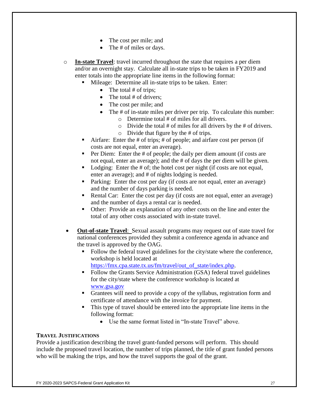- The cost per mile; and
- The # of miles or days.

o **In-state Travel**: travel incurred throughout the state that requires a per diem and/or an overnight stay. Calculate all in-state trips to be taken in FY2019 and enter totals into the appropriate line items in the following format:

- Mileage: Determine all in-state trips to be taken. Enter:
	- The total  $#$  of trips;
	- The total  $#$  of drivers;
	- The cost per mile; and
	- The # of in-state miles per driver per trip. To calculate this number:
		- o Determine total # of miles for all drivers.
		- $\circ$  Divide the total # of miles for all drivers by the # of drivers.
		- o Divide that figure by the # of trips.
- **Example 1** Airfare: Enter the  $\#$  of trips;  $\#$  of people; and airfare cost per person (if costs are not equal, enter an average).
- Per Diem: Enter the # of people; the daily per diem amount (if costs are not equal, enter an average); and the # of days the per diem will be given.
- Lodging: Enter the # of; the hotel cost per night (if costs are not equal, enter an average); and # of nights lodging is needed.
- Parking: Enter the cost per day (if costs are not equal, enter an average) and the number of days parking is needed.
- Rental Car: Enter the cost per day (if costs are not equal, enter an average) and the number of days a rental car is needed.
- Other: Provide an explanation of any other costs on the line and enter the total of any other costs associated with in-state travel.
- **Out-of-state Travel**: Sexual assault programs may request out of state travel for national conferences provided they submit a conference agenda in advance and the travel is approved by the OAG.
	- Follow the federal travel guidelines for the city/state where the conference, workshop is held located at
		- [https://fmx.cpa.state.tx.us/fm/travel/out\\_of\\_state/index.php.](https://fmx.cpa.state.tx.us/fm/travel/out_of_state/index.php)
	- Follow the Grants Service Administration (GSA) federal travel guidelines for the city/state where the conference workshop is located at [www.gsa.gov](http://www.gsa.gov/)
	- Grantees will need to provide a copy of the syllabus, registration form and certificate of attendance with the invoice for payment.
	- This type of travel should be entered into the appropriate line items in the following format:
		- Use the same format listed in "In-state Travel" above.

#### **TRAVEL JUSTIFICATIONS**

Provide a justification describing the travel grant-funded persons will perform. This should include the proposed travel location, the number of trips planned, the title of grant funded persons who will be making the trips, and how the travel supports the goal of the grant.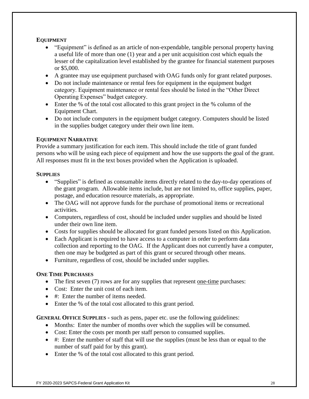## **EQUIPMENT**

- "Equipment" is defined as an article of non-expendable, tangible personal property having a useful life of more than one (1) year and a per unit acquisition cost which equals the lesser of the capitalization level established by the grantee for financial statement purposes or \$5,000.
- A grantee may use equipment purchased with OAG funds only for grant related purposes.
- Do not include maintenance or rental fees for equipment in the equipment budget category. Equipment maintenance or rental fees should be listed in the "Other Direct Operating Expenses" budget category.
- Enter the % of the total cost allocated to this grant project in the % column of the Equipment Chart.
- Do not include computers in the equipment budget category. Computers should be listed in the supplies budget category under their own line item.

## **EQUIPMENT NARRATIVE**

Provide a summary justification for each item. This should include the title of grant funded persons who will be using each piece of equipment and how the use supports the goal of the grant. All responses must fit in the text boxes provided when the Application is uploaded.

## **SUPPLIES**

- "Supplies" is defined as consumable items directly related to the day-to-day operations of the grant program. Allowable items include, but are not limited to, office supplies, paper, postage, and education resource materials, as appropriate.
- The OAG will not approve funds for the purchase of promotional items or recreational activities.
- Computers, regardless of cost, should be included under supplies and should be listed under their own line item.
- Costs for supplies should be allocated for grant funded persons listed on this Application.
- Each Applicant is required to have access to a computer in order to perform data collection and reporting to the OAG. If the Applicant does not currently have a computer, then one may be budgeted as part of this grant or secured through other means.
- Furniture, regardless of cost, should be included under supplies.

## **ONE TIME PURCHASES**

- The first seven (7) rows are for any supplies that represent one-time purchases:
- Cost: Enter the unit cost of each item.
- #: Enter the number of items needed.
- Enter the % of the total cost allocated to this grant period.

## **GENERAL OFFICE SUPPLIES -** such as pens, paper etc. use the following guidelines:

- Months: Enter the number of months over which the supplies will be consumed.
- Cost: Enter the costs per month per staff person to consumed supplies.
- #: Enter the number of staff that will use the supplies (must be less than or equal to the number of staff paid for by this grant).
- Enter the % of the total cost allocated to this grant period.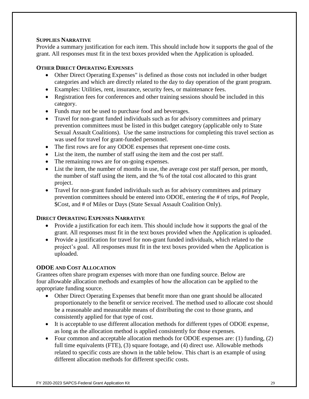## **SUPPLIES NARRATIVE**

Provide a summary justification for each item. This should include how it supports the goal of the grant. All responses must fit in the text boxes provided when the Application is uploaded.

## **OTHER DIRECT OPERATING EXPENSES**

- Other Direct Operating Expenses" is defined as those costs not included in other budget categories and which are directly related to the day to day operation of the grant program.
- Examples: Utilities, rent, insurance, security fees, or maintenance fees.
- Registration fees for conferences and other training sessions should be included in this category.
- Funds may not be used to purchase food and beverages.
- Travel for non-grant funded individuals such as for advisory committees and primary prevention committees must be listed in this budget category (applicable only to State Sexual Assault Coalitions). Use the same instructions for completing this travel section as was used for travel for grant-funded personnel.
- The first rows are for any ODOE expenses that represent one-time costs.
- List the item, the number of staff using the item and the cost per staff.
- The remaining rows are for on-going expenses.
- List the item, the number of months in use, the average cost per staff person, per month, the number of staff using the item, and the % of the total cost allocated to this grant project.
- Travel for non-grant funded individuals such as for advisory committees and primary prevention committees should be entered into ODOE, entering the # of trips, #of People, \$Cost, and # of Miles or Days (State Sexual Assault Coalition Only).

## **DIRECT OPERATING EXPENSES NARRATIVE**

- Provide a justification for each item. This should include how it supports the goal of the grant. All responses must fit in the text boxes provided when the Application is uploaded.
- Provide a justification for travel for non-grant funded individuals, which related to the project's goal. All responses must fit in the text boxes provided when the Application is uploaded.

## **ODOE AND COST ALLOCATION**

Grantees often share program expenses with more than one funding source. Below are four allowable allocation methods and examples of how the allocation can be applied to the appropriate funding source.

- Other Direct Operating Expenses that benefit more than one grant should be allocated proportionately to the benefit or service received. The method used to allocate cost should be a reasonable and measurable means of distributing the cost to those grants, and consistently applied for that type of cost.
- It is acceptable to use different allocation methods for different types of ODOE expense, as long as the allocation method is applied consistently for those expenses.
- Four common and acceptable allocation methods for ODOE expenses are: (1) funding, (2) full time equivalents (FTE), (3) square footage, and (4) direct use. Allowable methods related to specific costs are shown in the table below. This chart is an example of using different allocation methods for different specific costs.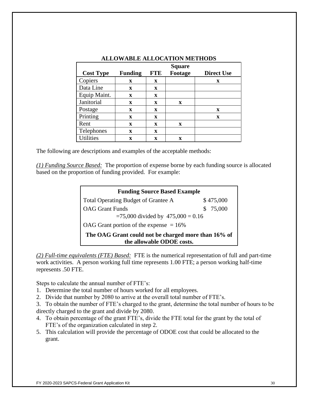|                  |                |             | <b>Square</b> |                   |
|------------------|----------------|-------------|---------------|-------------------|
| <b>Cost Type</b> | <b>Funding</b> | <b>FTE</b>  | Footage       | <b>Direct Use</b> |
| Copiers          | X              | X           |               | X                 |
| Data Line        | X              | X           |               |                   |
| Equip Maint.     | X              | $\mathbf x$ |               |                   |
| Janitorial       | X              | X           | X             |                   |
| Postage          | $\mathbf x$    | $\mathbf x$ |               | X                 |
| Printing         | X              | X           |               | X                 |
| Rent             | $\mathbf x$    | $\mathbf x$ | X             |                   |
| Telephones       | $\mathbf x$    | X           |               |                   |
| <b>Utilities</b> | X              | X           | X             |                   |

#### **ALLOWABLE ALLOCATION METHODS**

The following are descriptions and examples of the acceptable methods:

*(1) Funding Source Based:* The proportion of expense borne by each funding source is allocated based on the proportion of funding provided. For example:

| <b>Funding Source Based Example</b>                                              |           |
|----------------------------------------------------------------------------------|-----------|
| Total Operating Budget of Grantee A                                              | \$475,000 |
| <b>OAG</b> Grant Funds                                                           | \$75,000  |
| $= 75,000$ divided by $475,000 = 0.16$                                           |           |
| OAG Grant portion of the expense $= 16\%$                                        |           |
| The OAG Grant could not be charged more than 16% of<br>the allowable ODOE costs. |           |

*(2) Full-time equivalents (FTE) Based:* FTE is the numerical representation of full and part-time work activities. A person working full time represents 1.00 FTE; a person working half-time represents .50 FTE.

Steps to calculate the annual number of FTE's:

- 1. Determine the total number of hours worked for all employees.
- 2. Divide that number by 2080 to arrive at the overall total number of FTE's.

3. To obtain the number of FTE's charged to the grant, determine the total number of hours to be directly charged to the grant and divide by 2080.

- 4. To obtain percentage of the grant FTE's, divide the FTE total for the grant by the total of FTE's of the organization calculated in step 2.
- 5. This calculation will provide the percentage of ODOE cost that could be allocated to the grant.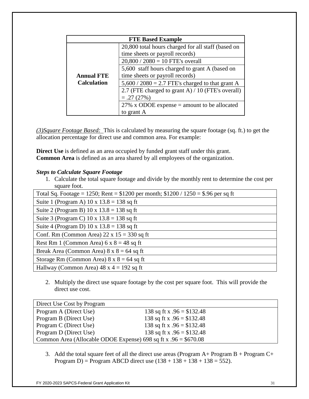|                    | <b>FTE Based Example</b>                           |
|--------------------|----------------------------------------------------|
|                    | 20,800 total hours charged for all staff (based on |
|                    | time sheets or payroll records)                    |
|                    | $20,800 / 2080 = 10$ FTE's overall                 |
|                    | 5,600 staff hours charged to grant A (based on     |
| <b>Annual FTE</b>  | time sheets or payroll records)                    |
| <b>Calculation</b> | $5,600 / 2080 = 2.7$ FTE's charged to that grant A |
|                    | 2.7 (FTE charged to grant A) / 10 (FTE's overall)  |
|                    | $=.27(27%)$                                        |
|                    | 27% x ODOE expense $=$ amount to be allocated      |
|                    | to grant A                                         |

*(3)Square Footage Based:* This is calculated by measuring the square footage (sq. ft.) to get the allocation percentage for direct use and common area. For example:

**Direct Use** is defined as an area occupied by funded grant staff under this grant. **Common Area** is defined as an area shared by all employees of the organization.

## *Steps to Calculate Square Footage*

1. Calculate the total square footage and divide by the monthly rent to determine the cost per square foot.

| Total Sq. Footage = 1250; Rent = \$1200 per month; $$1200 / 1250 = $.96$ per sq ft |
|------------------------------------------------------------------------------------|
| Suite 1 (Program A) $10 \times 13.8 = 138$ sq ft                                   |
| Suite 2 (Program B) $10 \times 13.8 = 138$ sq ft                                   |
| Suite 3 (Program C) $10 \times 13.8 = 138$ sq ft                                   |
| Suite 4 (Program D) $10 \times 13.8 = 138$ sq ft                                   |
| Conf. Rm (Common Area) $22 \times 15 = 330$ sq ft                                  |
| Rest Rm 1 (Common Area) $6 \times 8 = 48$ sq ft                                    |
| Break Area (Common Area) $8 \times 8 = 64$ sq ft                                   |
| Storage Rm (Common Area) $8 \times 8 = 64$ sq ft                                   |
| Hallway (Common Area) $48 \times 4 = 192$ sq ft                                    |

2. Multiply the direct use square footage by the cost per square foot. This will provide the direct use cost.

| Direct Use Cost by Program                                       |                             |
|------------------------------------------------------------------|-----------------------------|
| Program A (Direct Use)                                           | 138 sq ft x $.96 = $132.48$ |
| Program B (Direct Use)                                           | 138 sq ft x $.96 = $132.48$ |
| Program C (Direct Use)                                           | 138 sq ft x $.96 = $132.48$ |
| Program D (Direct Use)                                           | 138 sq ft x $.96 = $132.48$ |
| Common Area (Allocable ODOE Expense) 698 sq ft x $.96 = $670.08$ |                             |

3. Add the total square feet of all the direct use areas (Program  $A+$  Program  $B+$  Program  $C+$ Program D) = Program ABCD direct use  $(138 + 138 + 138 + 138 = 552)$ .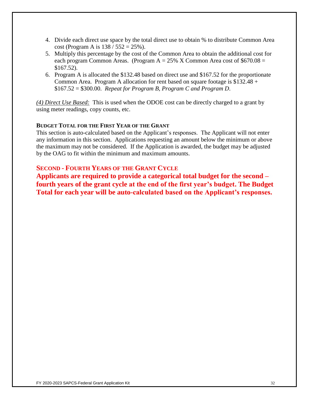- 4. Divide each direct use space by the total direct use to obtain % to distribute Common Area cost (Program A is  $138 / 552 = 25\%$ ).
- 5. Multiply this percentage by the cost of the Common Area to obtain the additional cost for each program Common Areas. (Program  $A = 25\%$  X Common Area cost of \$670.08 = \$167.52).
- 6. Program A is allocated the \$132.48 based on direct use and \$167.52 for the proportionate Common Area. Program A allocation for rent based on square footage is \$132.48 + \$167.52 = \$300.00. *Repeat for Program B, Program C and Program D*.

*(4) Direct Use Based:* This is used when the ODOE cost can be directly charged to a grant by using meter readings, copy counts, etc.

#### **BUDGET TOTAL FOR THE FIRST YEAR OF THE GRANT**

This section is auto-calculated based on the Applicant's responses. The Applicant will not enter any information in this section. Applications requesting an amount below the minimum or above the maximum may not be considered. If the Application is awarded, the budget may be adjusted by the OAG to fit within the minimum and maximum amounts.

## **SECOND - FOURTH YEARS OF THE GRANT CYCLE**

**Applicants are required to provide a categorical total budget for the second – fourth years of the grant cycle at the end of the first year's budget. The Budget Total for each year will be auto-calculated based on the Applicant's responses.**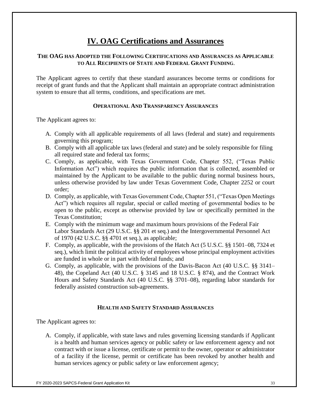# **IV. OAG Certifications and Assurances**

#### **THE OAG HAS ADOPTED THE FOLLOWING CERTIFICATIONS AND ASSURANCES AS APPLICABLE TO ALL RECIPIENTS OF STATE AND FEDERAL GRANT FUNDING**.

The Applicant agrees to certify that these standard assurances become terms or conditions for receipt of grant funds and that the Applicant shall maintain an appropriate contract administration system to ensure that all terms, conditions, and specifications are met.

#### **OPERATIONAL AND TRANSPARENCY ASSURANCES**

The Applicant agrees to:

- A. Comply with all applicable requirements of all laws (federal and state) and requirements governing this program;
- B. Comply with all applicable tax laws (federal and state) and be solely responsible for filing all required state and federal tax forms;
- C. Comply, as applicable, with Texas Government Code, Chapter 552, ("Texas Public Information Act") which requires the public information that is collected, assembled or maintained by the Applicant to be available to the public during normal business hours, unless otherwise provided by law under Texas Government Code, Chapter 2252 or court order;
- D. Comply, as applicable, with Texas Government Code, Chapter 551, ("Texas Open Meetings Act") which requires all regular, special or called meeting of governmental bodies to be open to the public, except as otherwise provided by law or specifically permitted in the Texas Constitution;
- E. Comply with the minimum wage and maximum hours provisions of the Federal Fair Labor Standards Act (29 U.S.C. §§ 201 et seq.) and the Intergovernmental Personnel Act of 1970 (42 U.S.C. §§ 4701 et seq.), as applicable;
- F. Comply, as applicable, with the provisions of the Hatch Act (5 U.S.C. §§ 1501–08, 7324 et seq.), which limit the political activity of employees whose principal employment activities are funded in whole or in part with federal funds; and
- G. Comply, as applicable, with the provisions of the Davis-Bacon Act (40 U.S.C. §§ 3141– 48), the Copeland Act (40 U.S.C. § 3145 and 18 U.S.C. § 874), and the Contract Work Hours and Safety Standards Act (40 U.S.C. §§ 3701–08), regarding labor standards for federally assisted construction sub-agreements.

#### **HEALTH AND SAFETY STANDARD ASSURANCES**

The Applicant agrees to:

A. Comply, if applicable, with state laws and rules governing licensing standards if Applicant is a health and human services agency or public safety or law enforcement agency and not contract with or issue a license, certificate or permit to the owner, operator or administrator of a facility if the license, permit or certificate has been revoked by another health and human services agency or public safety or law enforcement agency;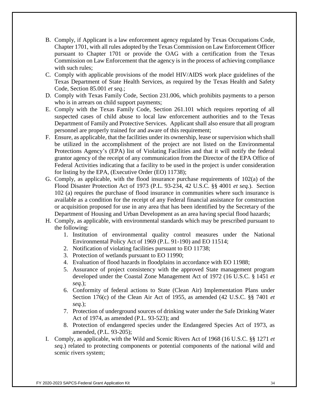- B. Comply, if Applicant is a law enforcement agency regulated by Texas Occupations Code, Chapter 1701, with all rules adopted by the Texas Commission on Law Enforcement Officer pursuant to Chapter 1701 or provide the OAG with a certification from the Texas Commission on Law Enforcement that the agency is in the process of achieving compliance with such rules;
- C. Comply with applicable provisions of the model HIV/AIDS work place guidelines of the Texas Department of State Health Services, as required by the Texas Health and Safety Code, Section 85.001 *et seq.*;
- D. Comply with Texas Family Code, Section 231.006, which prohibits payments to a person who is in arrears on child support payments;
- E. Comply with the Texas Family Code, Section 261.101 which requires reporting of all suspected cases of child abuse to local law enforcement authorities and to the Texas Department of Family and Protective Services. Applicant shall also ensure that all program personnel are properly trained for and aware of this requirement;
- F. Ensure, as applicable, that the facilities under its ownership, lease or supervision which shall be utilized in the accomplishment of the project are not listed on the Environmental Protections Agency's (EPA) list of Violating Facilities and that it will notify the federal grantor agency of the receipt of any communication from the Director of the EPA Office of Federal Activities indicating that a facility to be used in the project is under consideration for listing by the EPA, (Executive Order (EO) 11738);
- G. Comply, as applicable, with the flood insurance purchase requirements of  $102(a)$  of the Flood Disaster Protection Act of 1973 (P.L. 93-234, 42 U.S.C. §§ 4001 *et seq.*). Section 102 (a) requires the purchase of flood insurance in communities where such insurance is available as a condition for the receipt of any Federal financial assistance for construction or acquisition proposed for use in any area that has been identified by the Secretary of the Department of Housing and Urban Development as an area having special flood hazards;
- H. Comply, as applicable, with environmental standards which may be prescribed pursuant to the following:
	- 1. Institution of environmental quality control measures under the National Environmental Policy Act of 1969 (P.L. 91-190) and EO 11514;
	- 2. Notification of violating facilities pursuant to EO 11738;
	- 3. Protection of wetlands pursuant to EO 11990;
	- 4. Evaluation of flood hazards in floodplains in accordance with EO 11988;
	- 5. Assurance of project consistency with the approved State management program developed under the Coastal Zone Management Act of 1972 (16 U.S.C. § 1451 *et seq.*);
	- 6. Conformity of federal actions to State (Clean Air) Implementation Plans under Section 176(c) of the Clean Air Act of 1955, as amended (42 U.S.C. §§ 7401 *et seq.*);
	- 7. Protection of underground sources of drinking water under the Safe Drinking Water Act of 1974, as amended (P.L. 93-523); and
	- 8. Protection of endangered species under the Endangered Species Act of 1973, as amended, (P.L. 93-205);
- I. Comply, as applicable, with the Wild and Scenic Rivers Act of 1968 (16 U.S.C. §§ 1271 *et seq.*) related to protecting components or potential components of the national wild and scenic rivers system;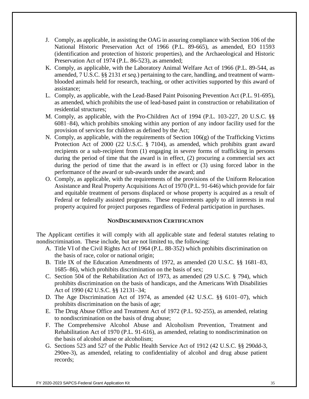- J. Comply, as applicable, in assisting the OAG in assuring compliance with Section 106 of the National Historic Preservation Act of 1966 (P.L. 89-665), as amended, EO 11593 (identification and protection of historic properties), and the Archaeological and Historic Preservation Act of 1974 (P.L. 86-523), as amended;
- K. Comply, as applicable, with the Laboratory Animal Welfare Act of 1966 (P.L. 89-544, as amended, 7 U.S.C. §§ 2131 *et seq.*) pertaining to the care, handling, and treatment of warmblooded animals held for research, teaching, or other activities supported by this award of assistance;
- L. Comply, as applicable, with the Lead-Based Paint Poisoning Prevention Act (P.L. 91-695), as amended, which prohibits the use of lead-based paint in construction or rehabilitation of residential structures;
- M. Comply, as applicable, with the Pro-Children Act of 1994 (P.L. 103-227, 20 U.S.C. §§ 6081–84), which prohibits smoking within any portion of any indoor facility used for the provision of services for children as defined by the Act;
- N. Comply, as applicable, with the requirements of Section 106(g) of the Trafficking Victims Protection Act of 2000 (22 U.S.C. § 7104), as amended, which prohibits grant award recipients or a sub-recipient from (1) engaging in severe forms of trafficking in persons during the period of time that the award is in effect, (2) procuring a commercial sex act during the period of time that the award is in effect or (3) using forced labor in the performance of the award or sub-awards under the award; and
- O. Comply, as applicable, with the requirements of the provisions of the Uniform Relocation Assistance and Real Property Acquisitions Act of 1970 (P.L. 91-646) which provide for fair and equitable treatment of persons displaced or whose property is acquired as a result of Federal or federally assisted programs. These requirements apply to all interests in real property acquired for project purposes regardless of Federal participation in purchases.

#### **NONDISCRIMINATION CERTIFICATION**

The Applicant certifies it will comply with all applicable state and federal statutes relating to nondiscrimination. These include, but are not limited to, the following:

- A. Title VI of the Civil Rights Act of 1964 (P.L. 88-352) which prohibits discrimination on the basis of race, color or national origin;
- B. Title IX of the Education Amendments of 1972, as amended (20 U.S.C. §§ 1681–83, 1685–86), which prohibits discrimination on the basis of sex;
- C. Section 504 of the Rehabilitation Act of 1973, as amended (29 U.S.C. § 794), which prohibits discrimination on the basis of handicaps, and the Americans With Disabilities Act of 1990 (42 U.S.C. §§ 12131–34;
- D. The Age Discrimination Act of 1974, as amended (42 U.S.C. §§ 6101–07), which prohibits discrimination on the basis of age;
- E. The Drug Abuse Office and Treatment Act of 1972 (P.L. 92-255), as amended, relating to nondiscrimination on the basis of drug abuse;
- F. The Comprehensive Alcohol Abuse and Alcoholism Prevention, Treatment and Rehabilitation Act of 1970 (P.L. 91-616), as amended, relating to nondiscrimination on the basis of alcohol abuse or alcoholism;
- G. Sections 523 and 527 of the Public Health Service Act of 1912 (42 U.S.C. §§ 290dd-3, 290ee-3), as amended, relating to confidentiality of alcohol and drug abuse patient records;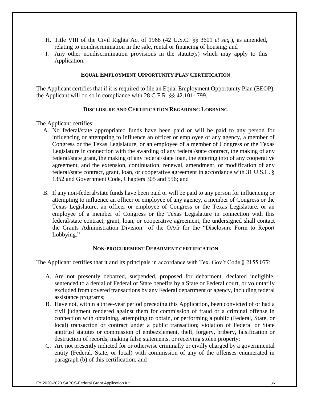- H. Title VIII of the Civil Rights Act of 1968 (42 U.S.C. §§ 3601 *et seq.*), as amended, relating to nondiscrimination in the sale, rental or financing of housing; and
- I. Any other nondiscrimination provisions in the statute(s) which may apply to this Application.

#### **EQUAL EMPLOYMENT OPPORTUNITY PLAN CERTIFICATION**

The Applicant certifies that if it is required to file an Equal Employment Opportunity Plan (EEOP), the Applicant will do so in compliance with 28 C.F.R. §§ 42.101-.799.

#### **DISCLOSURE AND CERTIFICATION REGARDING LOBBYING**

The Applicant certifies:

- A. No federal/state appropriated funds have been paid or will be paid to any person for influencing or attempting to influence an officer or employee of any agency, a member of Congress or the Texas Legislature, or an employee of a member of Congress or the Texas Legislature in connection with the awarding of any federal/state contract, the making of any federal/state grant, the making of any federal/state loan, the entering into of any cooperative agreement, and the extension, continuation, renewal, amendment, or modification of any federal/state contract, grant, loan, or cooperative agreement in accordance with 31 U.S.C. § 1352 and Government Code, Chapters 305 and 556; and
- B. If any non-federal/state funds have been paid or will be paid to any person for influencing or attempting to influence an officer or employee of any agency, a member of Congress or the Texas Legislature, an officer or employee of Congress or the Texas Legislature, or an employee of a member of Congress or the Texas Legislature in connection with this federal/state contract, grant, loan, or cooperative agreement, the undersigned shall contact the Grants Administration Division of the OAG for the "Disclosure Form to Report Lobbying."

#### **NON-PROCUREMENT DEBARMENT CERTIFICATION**

The Applicant certifies that it and its principals in accordance with Tex. Gov't Code § 2155.077:

- A. Are not presently debarred, suspended, proposed for debarment, declared ineligible, sentenced to a denial of Federal or State benefits by a State or Federal court, or voluntarily excluded from covered transactions by any Federal department or agency, including federal assistance programs;
- B. Have not, within a three-year period preceding this Application, been convicted of or had a civil judgment rendered against them for commission of fraud or a criminal offense in connection with obtaining, attempting to obtain, or performing a public (Federal, State, or local) transaction or contract under a public transaction; violation of Federal or State antitrust statutes or commission of embezzlement, theft, forgery, bribery, falsification or destruction of records, making false statements, or receiving stolen property;
- C. Are not presently indicted for or otherwise criminally or civilly charged by a governmental entity (Federal, State, or local) with commission of any of the offenses enumerated in paragraph (b) of this certification; and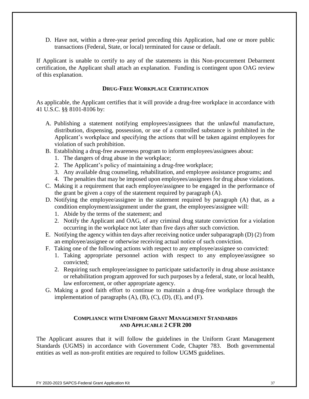D. Have not, within a three-year period preceding this Application, had one or more public transactions (Federal, State, or local) terminated for cause or default.

If Applicant is unable to certify to any of the statements in this Non-procurement Debarment certification, the Applicant shall attach an explanation. Funding is contingent upon OAG review of this explanation.

#### **DRUG-FREE WORKPLACE CERTIFICATION**

As applicable, the Applicant certifies that it will provide a drug-free workplace in accordance with 41 U.S.C. §§ 8101-8106 by:

- A. Publishing a statement notifying employees/assignees that the unlawful manufacture, distribution, dispensing, possession, or use of a controlled substance is prohibited in the Applicant's workplace and specifying the actions that will be taken against employees for violation of such prohibition.
- B. Establishing a drug-free awareness program to inform employees/assignees about:
	- 1. The dangers of drug abuse in the workplace;
	- 2. The Applicant's policy of maintaining a drug-free workplace;
	- 3. Any available drug counseling, rehabilitation, and employee assistance programs; and
	- 4. The penalties that may be imposed upon employees/assignees for drug abuse violations.
- C. Making it a requirement that each employee/assignee to be engaged in the performance of the grant be given a copy of the statement required by paragraph (A).
- D. Notifying the employee/assignee in the statement required by paragraph (A) that, as a condition employment/assignment under the grant, the employees/assignee will:
	- 1. Abide by the terms of the statement; and
	- 2. Notify the Applicant and OAG, of any criminal drug statute conviction for a violation occurring in the workplace not later than five days after such conviction.
- E. Notifying the agency within ten days after receiving notice under subparagraph (D) (2) from an employee/assignee or otherwise receiving actual notice of such conviction.
- F. Taking one of the following actions with respect to any employee/assignee so convicted:
	- 1. Taking appropriate personnel action with respect to any employee/assignee so convicted;
	- 2. Requiring such employee/assignee to participate satisfactorily in drug abuse assistance or rehabilitation program approved for such purposes by a federal, state, or local health, law enforcement, or other appropriate agency.
- G. Making a good faith effort to continue to maintain a drug-free workplace through the implementation of paragraphs  $(A)$ ,  $(B)$ ,  $(C)$ ,  $(D)$ ,  $(E)$ , and  $(F)$ .

#### **COMPLIANCE WITH UNIFORM GRANT MANAGEMENT STANDARDS AND APPLICABLE 2 CFR 200**

The Applicant assures that it will follow the guidelines in the Uniform Grant Management Standards (UGMS) in accordance with Government Code, Chapter 783. Both governmental entities as well as non-profit entities are required to follow UGMS guidelines.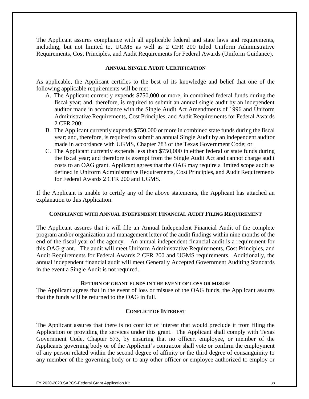The Applicant assures compliance with all applicable federal and state laws and requirements, including, but not limited to, UGMS as well as 2 CFR 200 titled Uniform Administrative Requirements, Cost Principles, and Audit Requirements for Federal Awards (Uniform Guidance).

#### **ANNUAL SINGLE AUDIT CERTIFICATION**

As applicable, the Applicant certifies to the best of its knowledge and belief that one of the following applicable requirements will be met:

- A. The Applicant currently expends \$750,000 or more, in combined federal funds during the fiscal year; and, therefore, is required to submit an annual single audit by an independent auditor made in accordance with the Single Audit Act Amendments of 1996 and Uniform Administrative Requirements, Cost Principles, and Audit Requirements for Federal Awards 2 CFR 200;
- B. The Applicant currently expends \$750,000 or more in combined state funds during the fiscal year; and, therefore, is required to submit an annual Single Audit by an independent auditor made in accordance with UGMS, Chapter 783 of the Texas Government Code; or
- C. The Applicant currently expends less than \$750,000 in either federal or state funds during the fiscal year; and therefore is exempt from the Single Audit Act and cannot charge audit costs to an OAG grant. Applicant agrees that the OAG may require a limited scope audit as defined in Uniform Administrative Requirements, Cost Principles, and Audit Requirements for Federal Awards 2 CFR 200 and UGMS.

If the Applicant is unable to certify any of the above statements, the Applicant has attached an explanation to this Application.

#### **COMPLIANCE WITH ANNUAL INDEPENDENT FINANCIAL AUDIT FILING REQUIREMENT**

The Applicant assures that it will file an Annual Independent Financial Audit of the complete program and/or organization and management letter of the audit findings within nine months of the end of the fiscal year of the agency. An annual independent financial audit is a requirement for this OAG grant. The audit will meet Uniform Administrative Requirements, Cost Principles, and Audit Requirements for Federal Awards 2 CFR 200 and UGMS requirements. Additionally, the annual independent financial audit will meet Generally Accepted Government Auditing Standards in the event a Single Audit is not required.

#### **RETURN OF GRANT FUNDS IN THE EVENT OF LOSS OR MISUSE**

The Applicant agrees that in the event of loss or misuse of the OAG funds, the Applicant assures that the funds will be returned to the OAG in full.

#### **CONFLICT OF INTEREST**

The Applicant assures that there is no conflict of interest that would preclude it from filing the Application or providing the services under this grant. The Applicant shall comply with Texas Government Code, Chapter 573, by ensuring that no officer, employee, or member of the Applicants governing body or of the Applicant's contractor shall vote or confirm the employment of any person related within the second degree of affinity or the third degree of consanguinity to any member of the governing body or to any other officer or employee authorized to employ or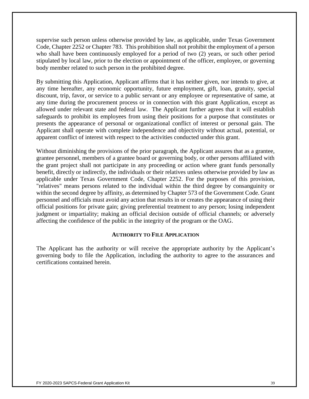supervise such person unless otherwise provided by law, as applicable, under Texas Government Code, Chapter 2252 or Chapter 783. This prohibition shall not prohibit the employment of a person who shall have been continuously employed for a period of two (2) years, or such other period stipulated by local law, prior to the election or appointment of the officer, employee, or governing body member related to such person in the prohibited degree.

By submitting this Application, Applicant affirms that it has neither given, nor intends to give, at any time hereafter, any economic opportunity, future employment, gift, loan, gratuity, special discount, trip, favor, or service to a public servant or any employee or representative of same, at any time during the procurement process or in connection with this grant Application, except as allowed under relevant state and federal law. The Applicant further agrees that it will establish safeguards to prohibit its employees from using their positions for a purpose that constitutes or presents the appearance of personal or organizational conflict of interest or personal gain. The Applicant shall operate with complete independence and objectivity without actual, potential, or apparent conflict of interest with respect to the activities conducted under this grant.

Without diminishing the provisions of the prior paragraph, the Applicant assures that as a grantee, grantee personnel, members of a grantee board or governing body, or other persons affiliated with the grant project shall not participate in any proceeding or action where grant funds personally benefit, directly or indirectly, the individuals or their relatives unless otherwise provided by law as applicable under Texas Government Code, Chapter 2252. For the purposes of this provision, "relatives" means persons related to the individual within the third degree by consanguinity or within the second degree by affinity, as determined by Chapter 573 of the Government Code. Grant personnel and officials must avoid any action that results in or creates the appearance of using their official positions for private gain; giving preferential treatment to any person; losing independent judgment or impartiality; making an official decision outside of official channels; or adversely affecting the confidence of the public in the integrity of the program or the OAG.

#### **AUTHORITY TO FILE APPLICATION**

The Applicant has the authority or will receive the appropriate authority by the Applicant's governing body to file the Application, including the authority to agree to the assurances and certifications contained herein.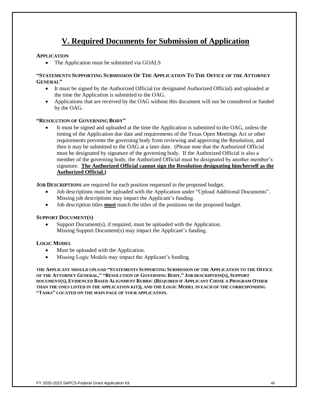# **V. Required Documents for Submission of Application**

#### **APPLICATION**

• The Application must be submitted via GOALS

#### **"STATEMENTS SUPPORTING SUBMISSION OF THE APPLICATION TO THE OFFICE OF THE ATTORNEY GENERAL"**

- It must be signed by the Authorized Official (or designated Authorized Official) and uploaded at the time the Application is submitted to the OAG.
- Applications that are received by the OAG without this document will not be considered or funded by the OAG.

#### **"RESOLUTION OF GOVERNING BODY"**

It must be signed and uploaded at the time the Application is submitted to the OAG, unless the timing of the Application due date and requirements of the Texas Open Meetings Act or other requirements prevents the governing body from reviewing and approving the Resolution, and then it may be submitted to the OAG at a later date. (Please note that the Authorized Official must be designated by signature of the governing body. If the Authorized Official is also a member of the governing body, the Authorized Official must be designated by another member's signature. **The Authorized Official cannot sign the Resolution designating him/herself as the Authorized Official.)**

**JOB DESCRIPTIONS** are required for each position requested in the proposed budget.

- Job descriptions must be uploaded with the Application under "Upload Additional Documents". Missing job descriptions may impact the Applicant's funding.
- Job description titles **must** match the titles of the positions on the proposed budget.

#### **SUPPORT DOCUMENT(S)**

Support Document(s), if required, must be uploaded with the Application. Missing Support Document(s) may impact the Applicant's funding.

#### **LOGIC MODEL**

- Must be uploaded with the Application.
- Missing Logic Models may impact the Applicant's funding.

**THE APPLICANT SHOULD UPLOAD "STATEMENTS SUPPORTING SUBMISSION OF THE APPLICATION TO THE OFFICE**  OF THE ATTORNEY GENERAL." "RESOLUTION OF GOVERNING BODY." JOB DESCRIPTION(S), SUPPORT DOCUMENT(S), EVIDENCED BASED ALIGNMENT RUBRIC (REQUIRED IF APPLICANT CHOSE A PROGRAM OTHER **THAN THE ONES LISTED IN THE APPLICATION KIT)), AND THE LOGIC MODEL IN EACH OF THE CORRESPONDING "TASKS" LOCATED ON THE MAIN PAGE OF YOUR APPLICATION.**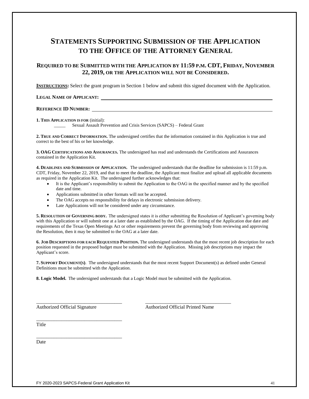## **STATEMENTS SUPPORTING SUBMISSION OF THE APPLICATION TO THE OFFICE OF THE ATTORNEY GENERAL**

#### **REQUIRED TO BE SUBMITTED WITH THE APPLICATION BY 11:59 P.M. CDT, FRIDAY, NOVEMBER 22, 2019, OR THE APPLICATION WILL NOT BE CONSIDERED.**

**INSTRUCTIONS:** Select the grant program in Section 1 below and submit this signed document with the Application.

#### **LEGAL NAME OF APPLICANT:**

#### **REFERENCE ID NUMBER:**

**1. THIS APPLICATION IS FOR** (initial):

Sexual Assault Prevention and Crisis Services (SAPCS) – Federal Grant

**2. TRUE AND CORRECT INFORMATION.** The undersigned certifies that the information contained in this Application is true and correct to the best of his or her knowledge.

**3. OAG CERTIFICATIONS AND ASSURANCES.** The undersigned has read and understands the Certifications and Assurances contained in the Application Kit.

**4. DEADLINES AND SUBMISSION OF APPLICATION.** The undersigned understands that the deadline for submission is 11:59 p.m. CDT, Friday, November 22, 2019, and that to meet the deadline, the Applicant must finalize and upload all applicable documents as required in the Application Kit. The undersigned further acknowledges that:

- It is the Applicant's responsibility to submit the Application to the OAG in the specified manner and by the specified date and time.
- Applications submitted in other formats will not be accepted.
- The OAG accepts no responsibility for delays in electronic submission delivery.
- Late Applications will not be considered under any circumstance.

**5. RESOLUTION OF GOVERNING BODY.** The undersigned states it is either submitting the Resolution of Applicant's governing body with this Application or will submit one at a later date as established by the OAG. If the timing of the Application due date and requirements of the Texas Open Meetings Act or other requirements prevent the governing body from reviewing and approving the Resolution, then it may be submitted to the OAG at a later date.

**6. JOB DESCRIPTIONS FOR EACH REQUESTED POSITION.** The undersigned understands that the most recent job description for each position requested in the proposed budget must be submitted with the Application. Missing job descriptions may impact the Applicant's score.

**7. SUPPORT DOCUMENT(S)**. The undersigned understands that the most recent Support Document(s) as defined under General Definitions must be submitted with the Application.

**8. Logic Model.** The undersigned understands that a Logic Model must be submitted with the Application.

\_\_\_\_\_\_\_\_\_\_\_\_\_\_\_\_\_\_\_\_\_\_\_\_\_\_\_\_\_\_\_\_\_\_ \_\_\_\_\_\_\_\_\_\_\_\_\_\_\_\_\_\_\_\_\_\_\_\_\_\_\_\_\_\_\_\_\_\_

\_\_\_\_\_\_\_\_\_\_\_\_\_\_\_\_\_\_\_\_\_\_\_\_\_\_\_\_\_\_\_\_\_\_

Authorized Official Signature **Authorized Official Printed Name** 

Title

\_\_\_\_\_\_\_\_\_\_\_\_\_\_\_\_\_\_\_\_\_\_\_\_\_\_\_\_\_\_\_\_\_\_ Date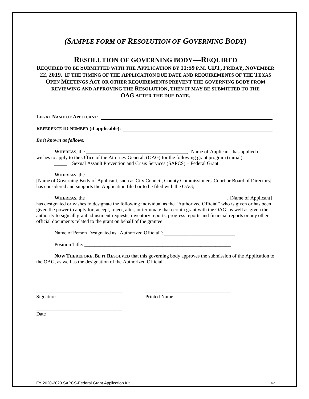## *(SAMPLE FORM OF RESOLUTION OF GOVERNING BODY)*

## **RESOLUTION OF GOVERNING BODY—REQUIRED**

## **REQUIRED TO BE SUBMITTED WITH THE APPLICATION BY 11:59 P.M. CDT, FRIDAY, NOVEMBER 22, 2019. IF THE TIMING OF THE APPLICATION DUE DATE AND REQUIREMENTS OF THE TEXAS OPEN MEETINGS ACT OR OTHER REQUIREMENTS PREVENT THE GOVERNING BODY FROM REVIEWING AND APPROVING THE RESOLUTION, THEN IT MAY BE SUBMITTED TO THE OAG AFTER THE DUE DATE.**

| LEGAL NAME OF APPLICANT:                                                                                                                                                                                                                                                                                                |
|-------------------------------------------------------------------------------------------------------------------------------------------------------------------------------------------------------------------------------------------------------------------------------------------------------------------------|
|                                                                                                                                                                                                                                                                                                                         |
| Be it known as follows:                                                                                                                                                                                                                                                                                                 |
| wishes to apply to the Office of the Attorney General, (OAG) for the following grant program (initial):<br>Sexual Assault Prevention and Crisis Services (SAPCS) – Federal Grant                                                                                                                                        |
| has considered and supports the Application filed or to be filed with the OAG;                                                                                                                                                                                                                                          |
| given the power to apply for, accept, reject, alter, or terminate that certain grant with the OAG, as well as given the<br>authority to sign all grant adjustment requests, inventory reports, progress reports and financial reports or any other<br>official documents related to the grant on behalf of the grantee: |
| Name of Person Designated as "Authorized Official":                                                                                                                                                                                                                                                                     |
|                                                                                                                                                                                                                                                                                                                         |

**NOW THEREFORE, BE IT RESOLVED** that this governing body approves the submission of the Application to the OAG, as well as the designation of the Authorized Official.

Signature Printed Name

\_\_\_\_\_\_\_\_\_\_\_\_\_\_\_\_\_\_\_\_\_\_\_\_\_\_\_\_\_\_\_\_\_\_ \_\_\_\_\_\_\_\_\_\_\_\_\_\_\_\_\_\_\_\_\_\_\_\_\_\_\_\_\_\_\_\_\_\_

Date

\_\_\_\_\_\_\_\_\_\_\_\_\_\_\_\_\_\_\_\_\_\_\_\_\_\_\_\_\_\_\_\_\_\_